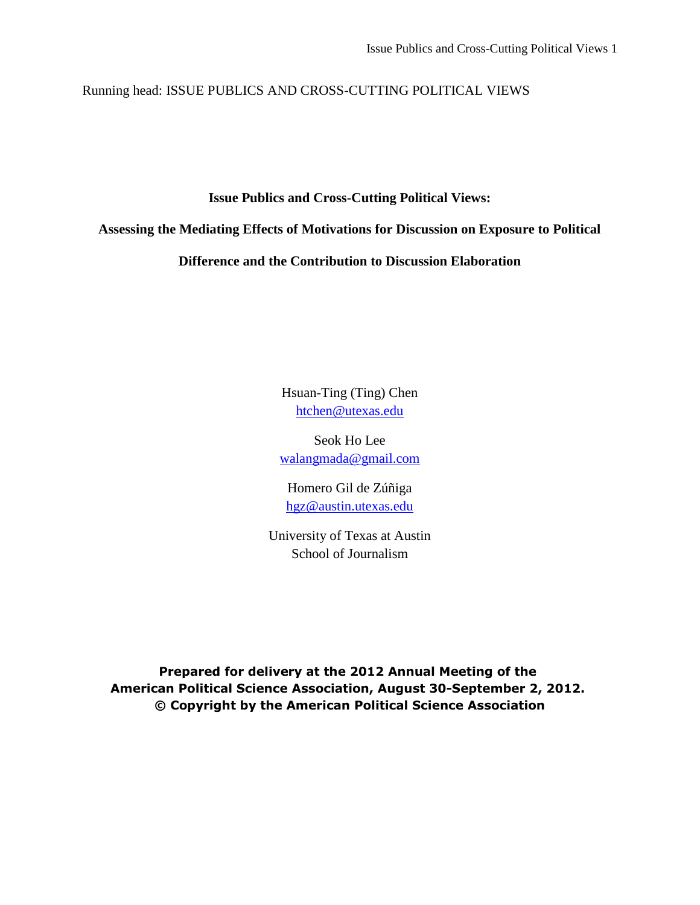Running head: ISSUE PUBLICS AND CROSS-CUTTING POLITICAL VIEWS

**Issue Publics and Cross-Cutting Political Views:**

**Assessing the Mediating Effects of Motivations for Discussion on Exposure to Political** 

**Difference and the Contribution to Discussion Elaboration** 

Hsuan-Ting (Ting) Chen [htchen@utexas.edu](mailto:htchen@utexas.edu)

Seok Ho Lee [walangmada@gmail.com](mailto:walangmada@gmail.com)

Homero Gil de Zúñiga [hgz@austin.utexas.edu](mailto:hgz@austin.utexas.edu)

University of Texas at Austin School of Journalism

**Prepared for delivery at the 2012 Annual Meeting of the American Political Science Association, August 30-September 2, 2012. © Copyright by the American Political Science Association**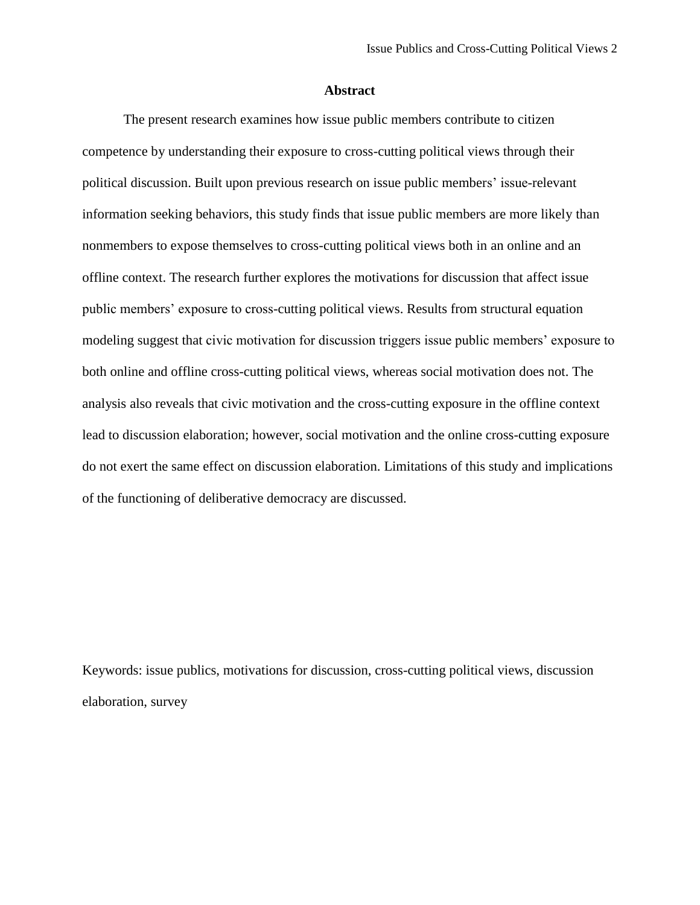# **Abstract**

The present research examines how issue public members contribute to citizen competence by understanding their exposure to cross-cutting political views through their political discussion. Built upon previous research on issue public members' issue-relevant information seeking behaviors, this study finds that issue public members are more likely than nonmembers to expose themselves to cross-cutting political views both in an online and an offline context. The research further explores the motivations for discussion that affect issue public members' exposure to cross-cutting political views. Results from structural equation modeling suggest that civic motivation for discussion triggers issue public members' exposure to both online and offline cross-cutting political views, whereas social motivation does not. The analysis also reveals that civic motivation and the cross-cutting exposure in the offline context lead to discussion elaboration; however, social motivation and the online cross-cutting exposure do not exert the same effect on discussion elaboration. Limitations of this study and implications of the functioning of deliberative democracy are discussed.

Keywords: issue publics, motivations for discussion, cross-cutting political views, discussion elaboration, survey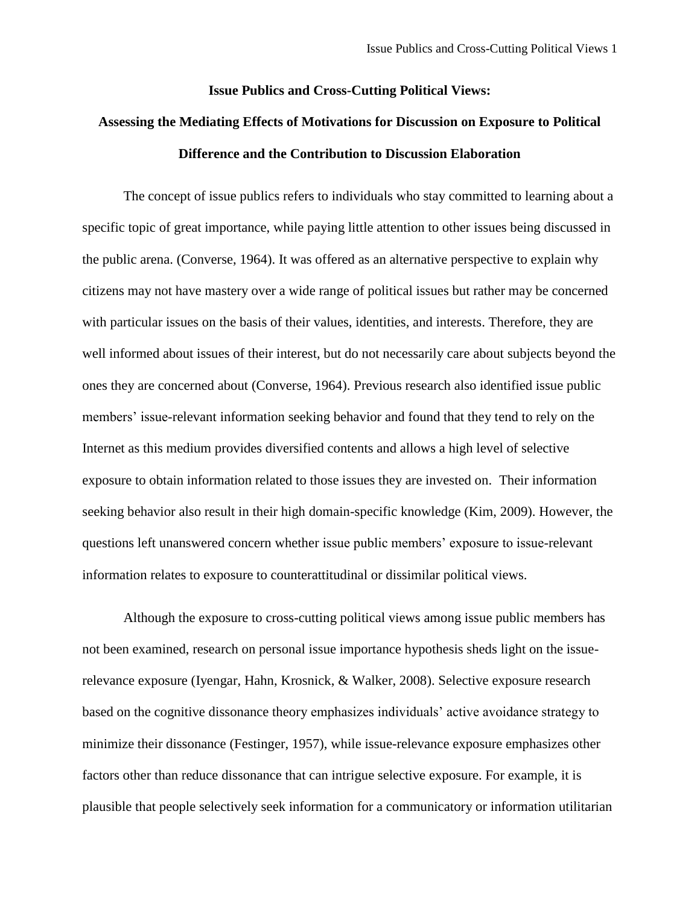## **Issue Publics and Cross-Cutting Political Views:**

# **Assessing the Mediating Effects of Motivations for Discussion on Exposure to Political Difference and the Contribution to Discussion Elaboration**

The concept of issue publics refers to individuals who stay committed to learning about a specific topic of great importance, while paying little attention to other issues being discussed in the public arena. [\(Converse, 1964\)](#page-31-0). It was offered as an alternative perspective to explain why citizens may not have mastery over a wide range of political issues but rather may be concerned with particular issues on the basis of their values, identities, and interests. Therefore, they are well informed about issues of their interest, but do not necessarily care about subjects beyond the ones they are concerned about [\(Converse, 1964\)](#page-31-0). Previous research also identified issue public members' issue-relevant information seeking behavior and found that they tend to rely on the Internet as this medium provides diversified contents and allows a high level of selective exposure to obtain information related to those issues they are invested on. Their information seeking behavior also result in their high domain-specific knowledge (Kim, 2009). However, the questions left unanswered concern whether issue public members' exposure to issue-relevant information relates to exposure to counterattitudinal or dissimilar political views.

Although the exposure to cross-cutting political views among issue public members has not been examined, research on personal issue importance hypothesis sheds light on the issuerelevance exposure [\(Iyengar, Hahn, Krosnick, & Walker, 2008\)](#page-32-0). Selective exposure research based on the cognitive dissonance theory emphasizes individuals' active avoidance strategy to minimize their dissonance [\(Festinger, 1957\)](#page-32-1), while issue-relevance exposure emphasizes other factors other than reduce dissonance that can intrigue selective exposure. For example, it is plausible that people selectively seek information for a communicatory or information utilitarian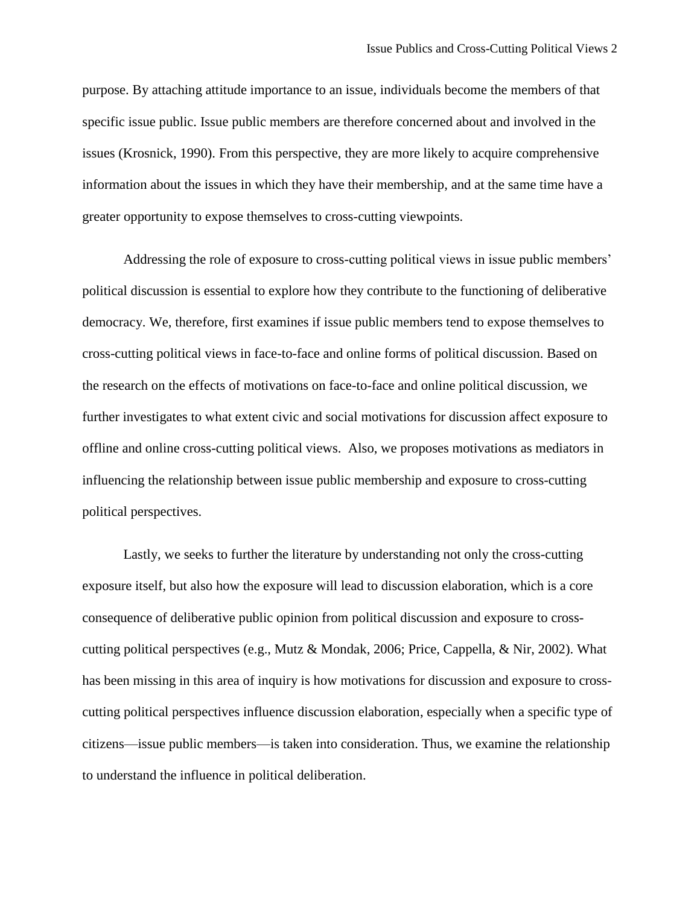purpose. By attaching attitude importance to an issue, individuals become the members of that specific issue public. Issue public members are therefore concerned about and involved in the issues [\(Krosnick, 1990\)](#page-33-0). From this perspective, they are more likely to acquire comprehensive information about the issues in which they have their membership, and at the same time have a greater opportunity to expose themselves to cross-cutting viewpoints.

Addressing the role of exposure to cross-cutting political views in issue public members' political discussion is essential to explore how they contribute to the functioning of deliberative democracy. We, therefore, first examines if issue public members tend to expose themselves to cross-cutting political views in face-to-face and online forms of political discussion. Based on the research on the effects of motivations on face-to-face and online political discussion, we further investigates to what extent civic and social motivations for discussion affect exposure to offline and online cross-cutting political views. Also, we proposes motivations as mediators in influencing the relationship between issue public membership and exposure to cross-cutting political perspectives.

Lastly, we seeks to further the literature by understanding not only the cross-cutting exposure itself, but also how the exposure will lead to discussion elaboration, which is a core consequence of deliberative public opinion from political discussion and exposure to crosscutting political perspectives (e.g., [Mutz & Mondak, 2006;](#page-33-1) [Price, Cappella, & Nir, 2002\)](#page-33-2). What has been missing in this area of inquiry is how motivations for discussion and exposure to crosscutting political perspectives influence discussion elaboration, especially when a specific type of citizens—issue public members—is taken into consideration. Thus, we examine the relationship to understand the influence in political deliberation.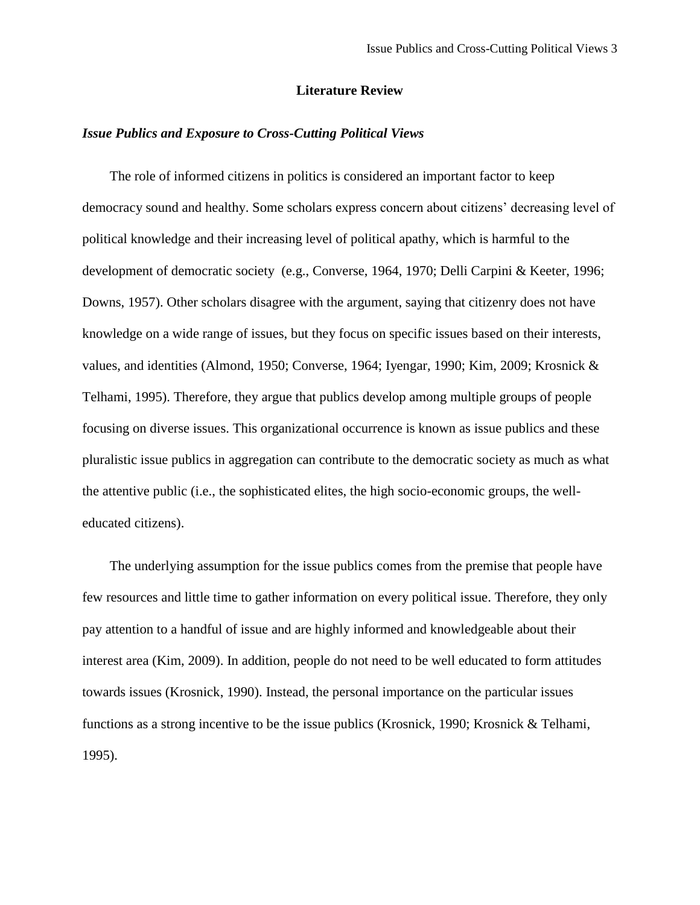# **Literature Review**

# *Issue Publics and Exposure to Cross-Cutting Political Views*

The role of informed citizens in politics is considered an important factor to keep democracy sound and healthy. Some scholars express concern about citizens' decreasing level of political knowledge and their increasing level of political apathy, which is harmful to the development of democratic society (e.g., [Converse, 1964,](#page-31-0) [1970;](#page-31-1) [Delli Carpini & Keeter, 1996;](#page-31-2) [Downs, 1957\)](#page-31-3). Other scholars disagree with the argument, saying that citizenry does not have knowledge on a wide range of issues, but they focus on specific issues based on their interests, values, and identities [\(Almond, 1950;](#page-31-4) [Converse, 1964;](#page-31-0) [Iyengar, 1990;](#page-32-2) [Kim, 2009;](#page-32-3) [Krosnick &](#page-33-3)  [Telhami, 1995\)](#page-33-3). Therefore, they argue that publics develop among multiple groups of people focusing on diverse issues. This organizational occurrence is known as issue publics and these pluralistic issue publics in aggregation can contribute to the democratic society as much as what the attentive public (i.e., the sophisticated elites, the high socio-economic groups, the welleducated citizens).

The underlying assumption for the issue publics comes from the premise that people have few resources and little time to gather information on every political issue. Therefore, they only pay attention to a handful of issue and are highly informed and knowledgeable about their interest area [\(Kim, 2009\)](#page-32-3). In addition, people do not need to be well educated to form attitudes towards issues [\(Krosnick, 1990\)](#page-33-0). Instead, the personal importance on the particular issues functions as a strong incentive to be the issue publics [\(Krosnick, 1990;](#page-33-0) [Krosnick & Telhami,](#page-33-3)  [1995\)](#page-33-3).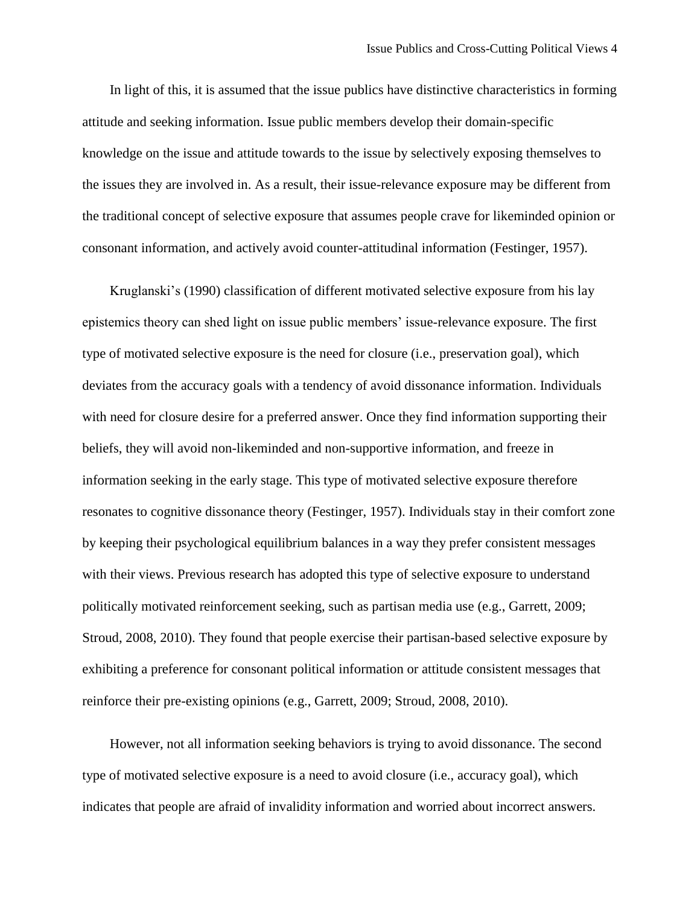In light of this, it is assumed that the issue publics have distinctive characteristics in forming attitude and seeking information. Issue public members develop their domain-specific knowledge on the issue and attitude towards to the issue by selectively exposing themselves to the issues they are involved in. As a result, their issue-relevance exposure may be different from the traditional concept of selective exposure that assumes people crave for likeminded opinion or consonant information, and actively avoid counter-attitudinal information [\(Festinger, 1957\)](#page-32-1).

Kruglanski's [\(1990\)](#page-33-4) classification of different motivated selective exposure from his lay epistemics theory can shed light on issue public members' issue-relevance exposure. The first type of motivated selective exposure is the need for closure (i.e., preservation goal), which deviates from the accuracy goals with a tendency of avoid dissonance information. Individuals with need for closure desire for a preferred answer. Once they find information supporting their beliefs, they will avoid non-likeminded and non-supportive information, and freeze in information seeking in the early stage. This type of motivated selective exposure therefore resonates to cognitive dissonance theory [\(Festinger, 1957\)](#page-32-1). Individuals stay in their comfort zone by keeping their psychological equilibrium balances in a way they prefer consistent messages with their views. Previous research has adopted this type of selective exposure to understand politically motivated reinforcement seeking, such as partisan media use (e.g., [Garrett, 2009;](#page-32-4) [Stroud, 2008,](#page-34-0) [2010\)](#page-34-1). They found that people exercise their partisan-based selective exposure by exhibiting a preference for consonant political information or attitude consistent messages that reinforce their pre-existing opinions (e.g., [Garrett, 2009;](#page-32-4) [Stroud, 2008,](#page-34-0) [2010\)](#page-34-1).

However, not all information seeking behaviors is trying to avoid dissonance. The second type of motivated selective exposure is a need to avoid closure (i.e., accuracy goal), which indicates that people are afraid of invalidity information and worried about incorrect answers.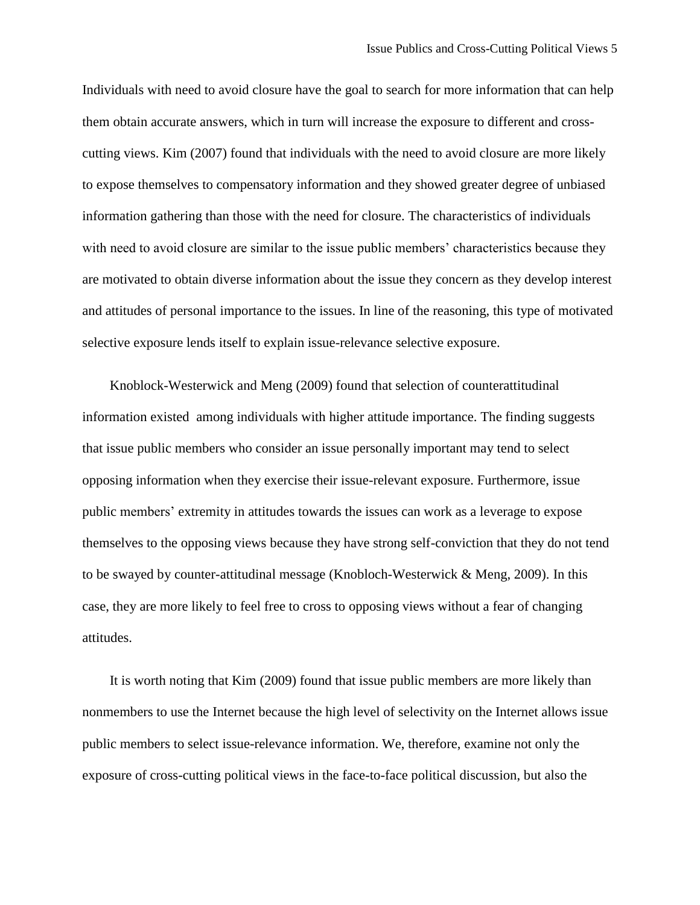Individuals with need to avoid closure have the goal to search for more information that can help them obtain accurate answers, which in turn will increase the exposure to different and crosscutting views. Kim [\(2007\)](#page-32-5) found that individuals with the need to avoid closure are more likely to expose themselves to compensatory information and they showed greater degree of unbiased information gathering than those with the need for closure. The characteristics of individuals with need to avoid closure are similar to the issue public members' characteristics because they are motivated to obtain diverse information about the issue they concern as they develop interest and attitudes of personal importance to the issues. In line of the reasoning, this type of motivated selective exposure lends itself to explain issue-relevance selective exposure.

Knoblock-Westerwick and Meng [\(2009\)](#page-33-5) found that selection of counterattitudinal information existed among individuals with higher attitude importance. The finding suggests that issue public members who consider an issue personally important may tend to select opposing information when they exercise their issue-relevant exposure. Furthermore, issue public members' extremity in attitudes towards the issues can work as a leverage to expose themselves to the opposing views because they have strong self-conviction that they do not tend to be swayed by counter-attitudinal message [\(Knobloch-Westerwick & Meng, 2009\)](#page-33-5). In this case, they are more likely to feel free to cross to opposing views without a fear of changing attitudes.

It is worth noting that Kim (2009) found that issue public members are more likely than nonmembers to use the Internet because the high level of selectivity on the Internet allows issue public members to select issue-relevance information. We, therefore, examine not only the exposure of cross-cutting political views in the face-to-face political discussion, but also the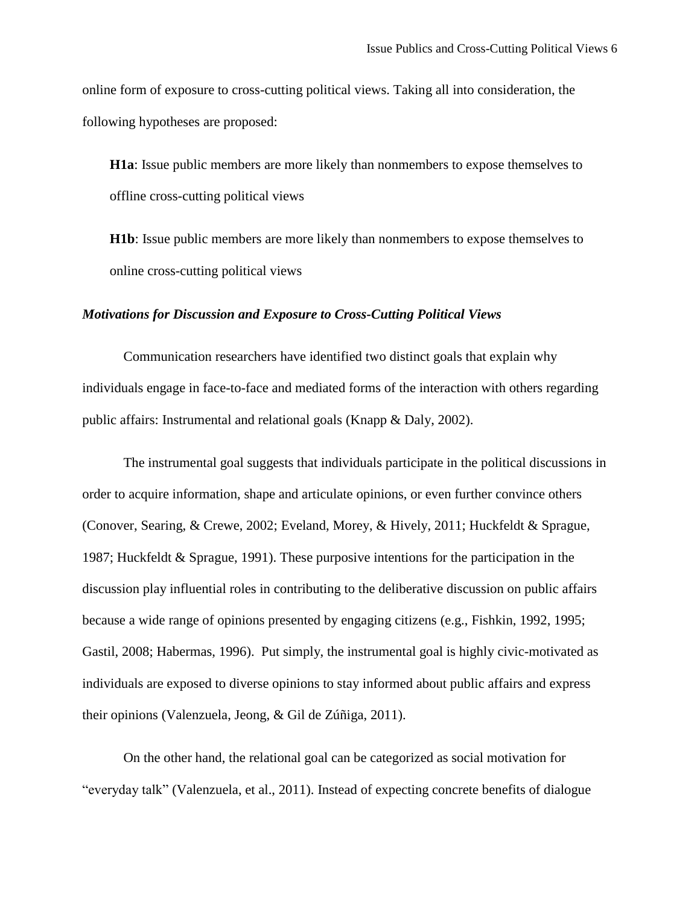online form of exposure to cross-cutting political views. Taking all into consideration, the following hypotheses are proposed:

**H1a**: Issue public members are more likely than nonmembers to expose themselves to offline cross-cutting political views

**H1b**: Issue public members are more likely than nonmembers to expose themselves to online cross-cutting political views

#### *Motivations for Discussion and Exposure to Cross-Cutting Political Views*

Communication researchers have identified two distinct goals that explain why individuals engage in face-to-face and mediated forms of the interaction with others regarding public affairs: Instrumental and relational goals [\(Knapp & Daly, 2002\)](#page-32-6).

The instrumental goal suggests that individuals participate in the political discussions in order to acquire information, shape and articulate opinions, or even further convince others [\(Conover, Searing, & Crewe, 2002;](#page-31-5) [Eveland, Morey, & Hively, 2011;](#page-32-7) [Huckfeldt & Sprague,](#page-32-8)  [1987;](#page-32-8) [Huckfeldt & Sprague, 1991\)](#page-32-9). These purposive intentions for the participation in the discussion play influential roles in contributing to the deliberative discussion on public affairs because a wide range of opinions presented by engaging citizens (e.g., [Fishkin, 1992,](#page-32-10) [1995;](#page-32-11) [Gastil, 2008;](#page-32-12) [Habermas, 1996\)](#page-32-13). Put simply, the instrumental goal is highly civic-motivated as individuals are exposed to diverse opinions to stay informed about public affairs and express their opinions [\(Valenzuela, Jeong, & Gil de Zúñiga, 2011\)](#page-34-2).

On the other hand, the relational goal can be categorized as social motivation for "everyday talk" [\(Valenzuela, et al., 2011\)](#page-34-2). Instead of expecting concrete benefits of dialogue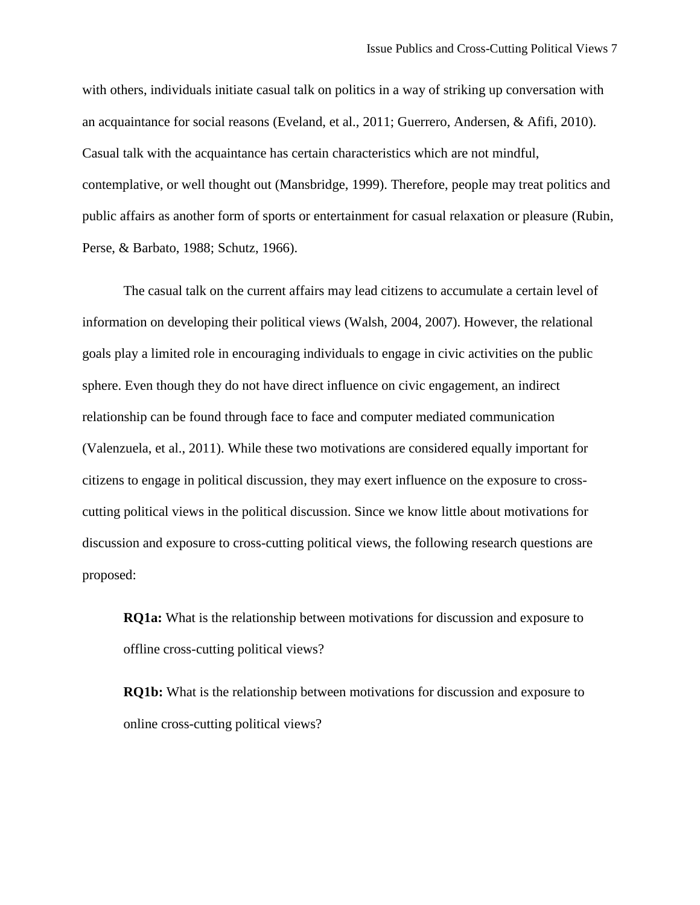with others, individuals initiate casual talk on politics in a way of striking up conversation with an acquaintance for social reasons [\(Eveland, et al., 2011;](#page-32-7) [Guerrero, Andersen, & Afifi, 2010\)](#page-32-14). Casual talk with the acquaintance has certain characteristics which are not mindful, contemplative, or well thought out [\(Mansbridge, 1999\)](#page-33-6). Therefore, people may treat politics and public affairs as another form of sports or entertainment for casual relaxation or pleasure [\(Rubin,](#page-33-7)  [Perse, & Barbato, 1988;](#page-33-7) [Schutz, 1966\)](#page-33-8).

The casual talk on the current affairs may lead citizens to accumulate a certain level of information on developing their political views [\(Walsh, 2004,](#page-34-3) [2007\)](#page-34-4). However, the relational goals play a limited role in encouraging individuals to engage in civic activities on the public sphere. Even though they do not have direct influence on civic engagement, an indirect relationship can be found through face to face and computer mediated communication [\(Valenzuela, et al., 2011\)](#page-34-2). While these two motivations are considered equally important for citizens to engage in political discussion, they may exert influence on the exposure to crosscutting political views in the political discussion. Since we know little about motivations for discussion and exposure to cross-cutting political views, the following research questions are proposed:

**RQ1a:** What is the relationship between motivations for discussion and exposure to offline cross-cutting political views?

**RQ1b:** What is the relationship between motivations for discussion and exposure to online cross-cutting political views?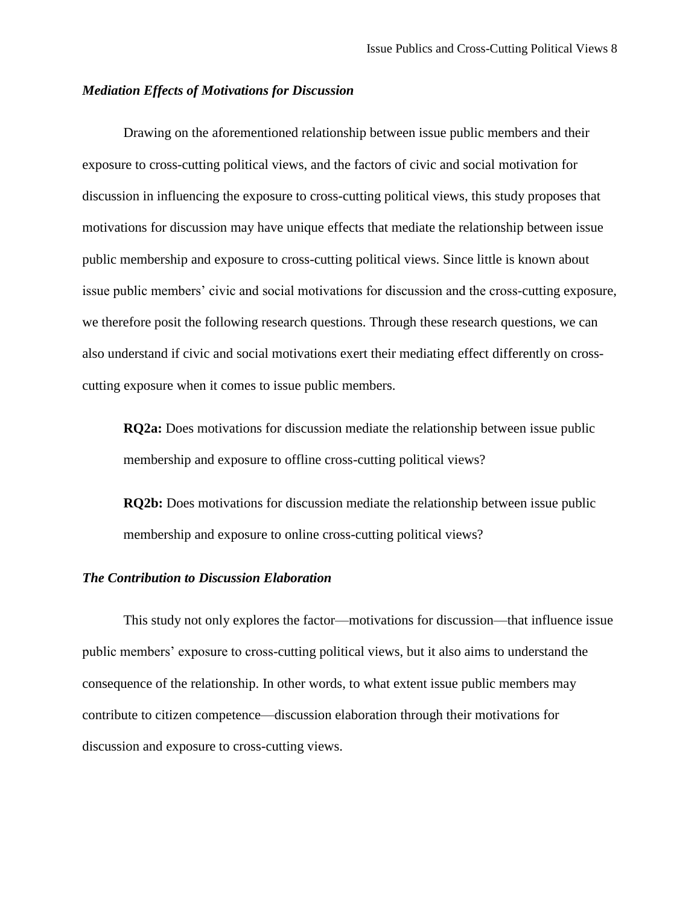# *Mediation Effects of Motivations for Discussion*

Drawing on the aforementioned relationship between issue public members and their exposure to cross-cutting political views, and the factors of civic and social motivation for discussion in influencing the exposure to cross-cutting political views, this study proposes that motivations for discussion may have unique effects that mediate the relationship between issue public membership and exposure to cross-cutting political views. Since little is known about issue public members' civic and social motivations for discussion and the cross-cutting exposure, we therefore posit the following research questions. Through these research questions, we can also understand if civic and social motivations exert their mediating effect differently on crosscutting exposure when it comes to issue public members.

**RQ2a:** Does motivations for discussion mediate the relationship between issue public membership and exposure to offline cross-cutting political views?

**RQ2b:** Does motivations for discussion mediate the relationship between issue public membership and exposure to online cross-cutting political views?

#### *The Contribution to Discussion Elaboration*

This study not only explores the factor—motivations for discussion—that influence issue public members' exposure to cross-cutting political views, but it also aims to understand the consequence of the relationship. In other words, to what extent issue public members may contribute to citizen competence—discussion elaboration through their motivations for discussion and exposure to cross-cutting views.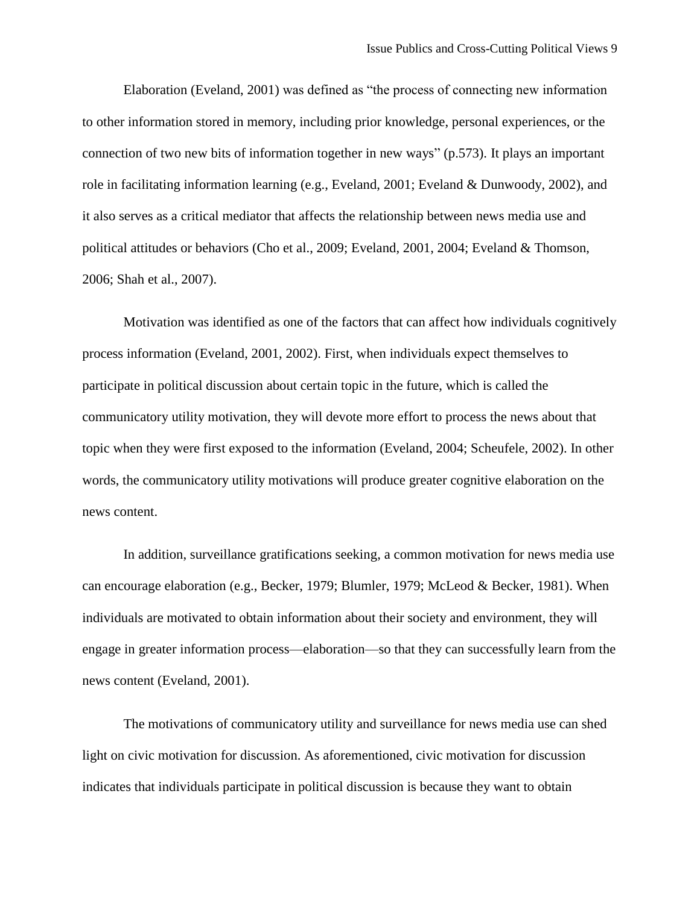Elaboration [\(Eveland, 2001\)](#page-31-6) was defined as "the process of connecting new information to other information stored in memory, including prior knowledge, personal experiences, or the connection of two new bits of information together in new ways" (p.573). It plays an important role in facilitating information learning (e.g., [Eveland, 2001;](#page-31-6) [Eveland & Dunwoody, 2002\)](#page-31-7), and it also serves as a critical mediator that affects the relationship between news media use and political attitudes or behaviors [\(Cho et al., 2009;](#page-31-8) [Eveland, 2001,](#page-31-6) [2004;](#page-31-9) [Eveland & Thomson,](#page-32-15)  [2006;](#page-32-15) [Shah et al., 2007\)](#page-33-9).

Motivation was identified as one of the factors that can affect how individuals cognitively process information [\(Eveland, 2001,](#page-31-6) [2002\)](#page-31-10). First, when individuals expect themselves to participate in political discussion about certain topic in the future, which is called the communicatory utility motivation, they will devote more effort to process the news about that topic when they were first exposed to the information [\(Eveland, 2004;](#page-31-9) [Scheufele, 2002\)](#page-33-10). In other words, the communicatory utility motivations will produce greater cognitive elaboration on the news content.

In addition, surveillance gratifications seeking, a common motivation for news media use can encourage elaboration (e.g., [Becker, 1979;](#page-31-11) [Blumler, 1979;](#page-31-12) [McLeod & Becker, 1981\)](#page-33-11). When individuals are motivated to obtain information about their society and environment, they will engage in greater information process—elaboration—so that they can successfully learn from the news content [\(Eveland, 2001\)](#page-31-6).

The motivations of communicatory utility and surveillance for news media use can shed light on civic motivation for discussion. As aforementioned, civic motivation for discussion indicates that individuals participate in political discussion is because they want to obtain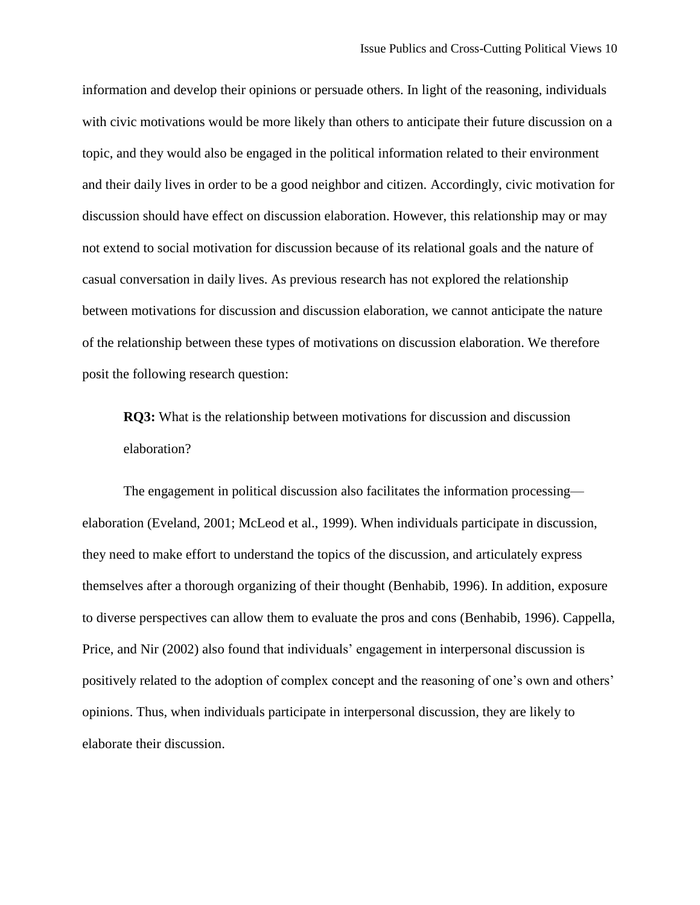information and develop their opinions or persuade others. In light of the reasoning, individuals with civic motivations would be more likely than others to anticipate their future discussion on a topic, and they would also be engaged in the political information related to their environment and their daily lives in order to be a good neighbor and citizen. Accordingly, civic motivation for discussion should have effect on discussion elaboration. However, this relationship may or may not extend to social motivation for discussion because of its relational goals and the nature of casual conversation in daily lives. As previous research has not explored the relationship between motivations for discussion and discussion elaboration, we cannot anticipate the nature of the relationship between these types of motivations on discussion elaboration. We therefore posit the following research question:

**RQ3:** What is the relationship between motivations for discussion and discussion elaboration?

The engagement in political discussion also facilitates the information processing elaboration [\(Eveland, 2001;](#page-31-6) [McLeod et al., 1999\)](#page-33-12). When individuals participate in discussion, they need to make effort to understand the topics of the discussion, and articulately express themselves after a thorough organizing of their thought [\(Benhabib, 1996\)](#page-31-13). In addition, exposure to diverse perspectives can allow them to evaluate the pros and cons [\(Benhabib, 1996\)](#page-31-13). Cappella, Price, and Nir [\(2002\)](#page-31-14) also found that individuals' engagement in interpersonal discussion is positively related to the adoption of complex concept and the reasoning of one's own and others' opinions. Thus, when individuals participate in interpersonal discussion, they are likely to elaborate their discussion.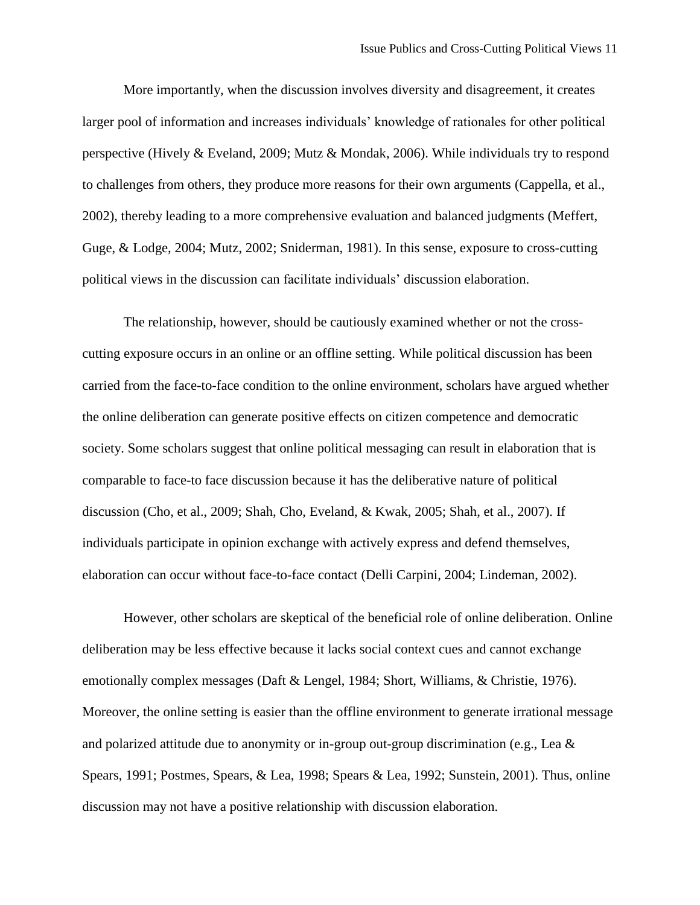More importantly, when the discussion involves diversity and disagreement, it creates larger pool of information and increases individuals' knowledge of rationales for other political perspective [\(Hively & Eveland, 2009;](#page-32-16) [Mutz & Mondak, 2006\)](#page-33-1). While individuals try to respond to challenges from others, they produce more reasons for their own arguments [\(Cappella, et al.,](#page-31-14)  [2002\)](#page-31-14), thereby leading to a more comprehensive evaluation and balanced judgments [\(Meffert,](#page-33-13)  [Guge, & Lodge, 2004;](#page-33-13) [Mutz, 2002;](#page-33-14) [Sniderman, 1981\)](#page-34-5). In this sense, exposure to cross-cutting political views in the discussion can facilitate individuals' discussion elaboration.

The relationship, however, should be cautiously examined whether or not the crosscutting exposure occurs in an online or an offline setting. While political discussion has been carried from the face-to-face condition to the online environment, scholars have argued whether the online deliberation can generate positive effects on citizen competence and democratic society. Some scholars suggest that online political messaging can result in elaboration that is comparable to face-to face discussion because it has the deliberative nature of political discussion [\(Cho, et al., 2009;](#page-31-8) [Shah, Cho, Eveland, & Kwak, 2005;](#page-33-15) [Shah, et al., 2007\)](#page-33-9). If individuals participate in opinion exchange with actively express and defend themselves, elaboration can occur without face-to-face contact [\(Delli Carpini, 2004;](#page-31-15) [Lindeman, 2002\)](#page-33-16).

However, other scholars are skeptical of the beneficial role of online deliberation. Online deliberation may be less effective because it lacks social context cues and cannot exchange emotionally complex messages [\(Daft & Lengel, 1984;](#page-31-16) [Short, Williams, & Christie, 1976\)](#page-34-6). Moreover, the online setting is easier than the offline environment to generate irrational message and polarized attitude due to anonymity or in-group out-group discrimination (e.g., [Lea &](#page-33-17)  [Spears, 1991;](#page-33-17) [Postmes, Spears, & Lea, 1998;](#page-33-18) [Spears & Lea, 1992;](#page-34-7) [Sunstein, 2001\)](#page-34-8). Thus, online discussion may not have a positive relationship with discussion elaboration.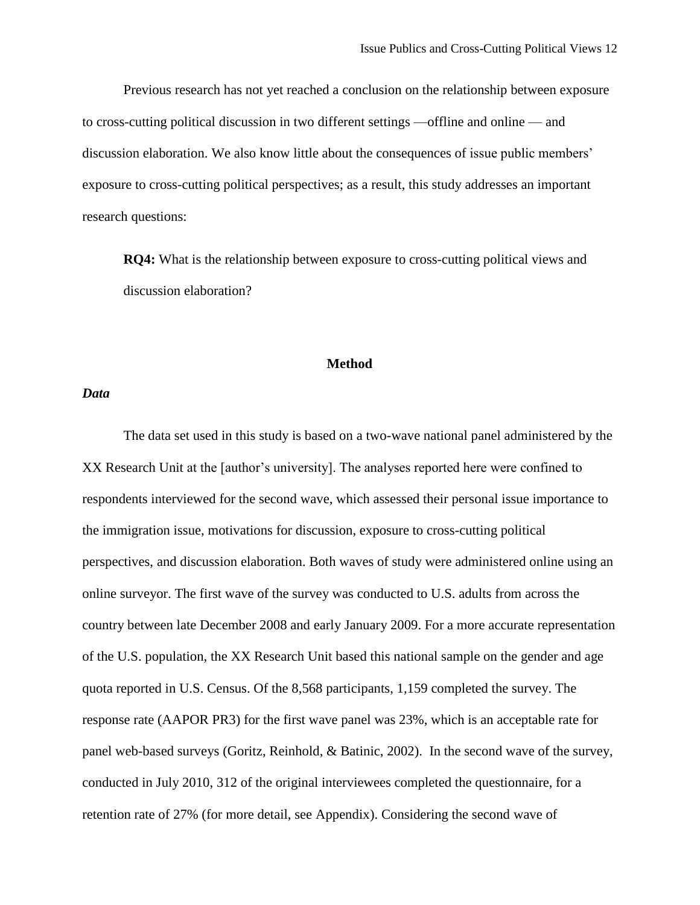Previous research has not yet reached a conclusion on the relationship between exposure to cross-cutting political discussion in two different settings —offline and online — and discussion elaboration. We also know little about the consequences of issue public members' exposure to cross-cutting political perspectives; as a result, this study addresses an important research questions:

**RQ4:** What is the relationship between exposure to cross-cutting political views and discussion elaboration?

#### **Method**

#### *Data*

The data set used in this study is based on a two-wave national panel administered by the XX Research Unit at the [author's university]. The analyses reported here were confined to respondents interviewed for the second wave, which assessed their personal issue importance to the immigration issue, motivations for discussion, exposure to cross-cutting political perspectives, and discussion elaboration. Both waves of study were administered online using an online surveyor. The first wave of the survey was conducted to U.S. adults from across the country between late December 2008 and early January 2009. For a more accurate representation of the U.S. population, the XX Research Unit based this national sample on the gender and age quota reported in U.S. Census. Of the 8,568 participants, 1,159 completed the survey. The response rate (AAPOR PR3) for the first wave panel was 23%, which is an acceptable rate for panel web-based surveys (Goritz, Reinhold, & Batinic, 2002). In the second wave of the survey, conducted in July 2010, 312 of the original interviewees completed the questionnaire, for a retention rate of 27% (for more detail, see Appendix). Considering the second wave of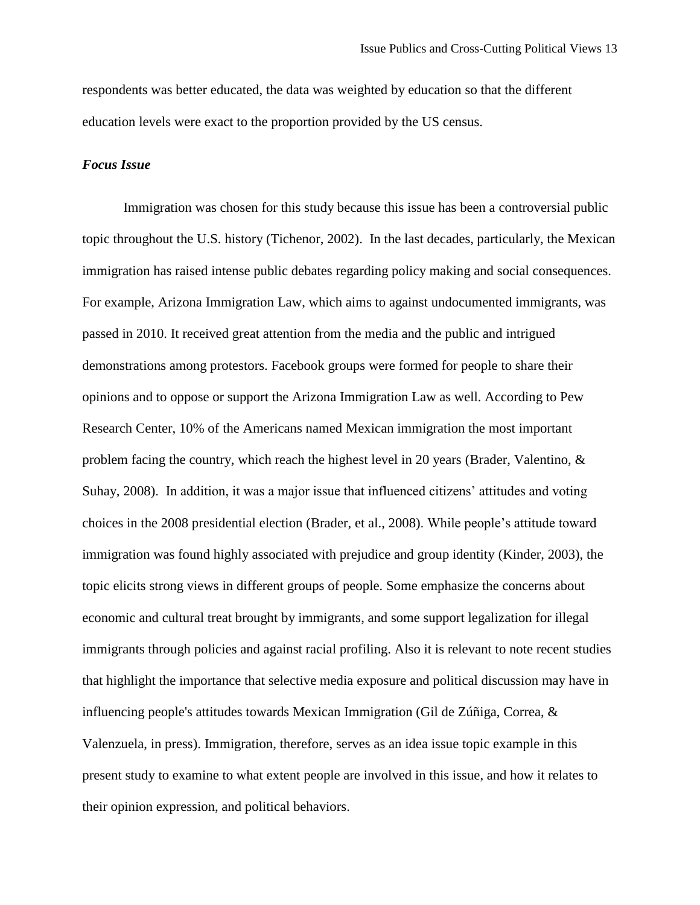respondents was better educated, the data was weighted by education so that the different education levels were exact to the proportion provided by the US census.

# *Focus Issue*

Immigration was chosen for this study because this issue has been a controversial public topic throughout the U.S. history [\(Tichenor, 2002\)](#page-34-9). In the last decades, particularly, the Mexican immigration has raised intense public debates regarding policy making and social consequences. For example, Arizona Immigration Law, which aims to against undocumented immigrants, was passed in 2010. It received great attention from the media and the public and intrigued demonstrations among protestors. Facebook groups were formed for people to share their opinions and to oppose or support the Arizona Immigration Law as well. According to Pew Research Center, 10% of the Americans named Mexican immigration the most important problem facing the country, which reach the highest level in 20 years [\(Brader, Valentino, &](#page-31-17)  [Suhay, 2008\)](#page-31-17). In addition, it was a major issue that influenced citizens' attitudes and voting choices in the 2008 presidential election [\(Brader, et al., 2008\)](#page-31-17). While people's attitude toward immigration was found highly associated with prejudice and group identity [\(Kinder, 2003\)](#page-32-17), the topic elicits strong views in different groups of people. Some emphasize the concerns about economic and cultural treat brought by immigrants, and some support legalization for illegal immigrants through policies and against racial profiling. Also it is relevant to note recent studies that highlight the importance that selective media exposure and political discussion may have in influencing people's attitudes towards Mexican Immigration (Gil de Zúñiga, Correa, & Valenzuela, in press). Immigration, therefore, serves as an idea issue topic example in this present study to examine to what extent people are involved in this issue, and how it relates to their opinion expression, and political behaviors.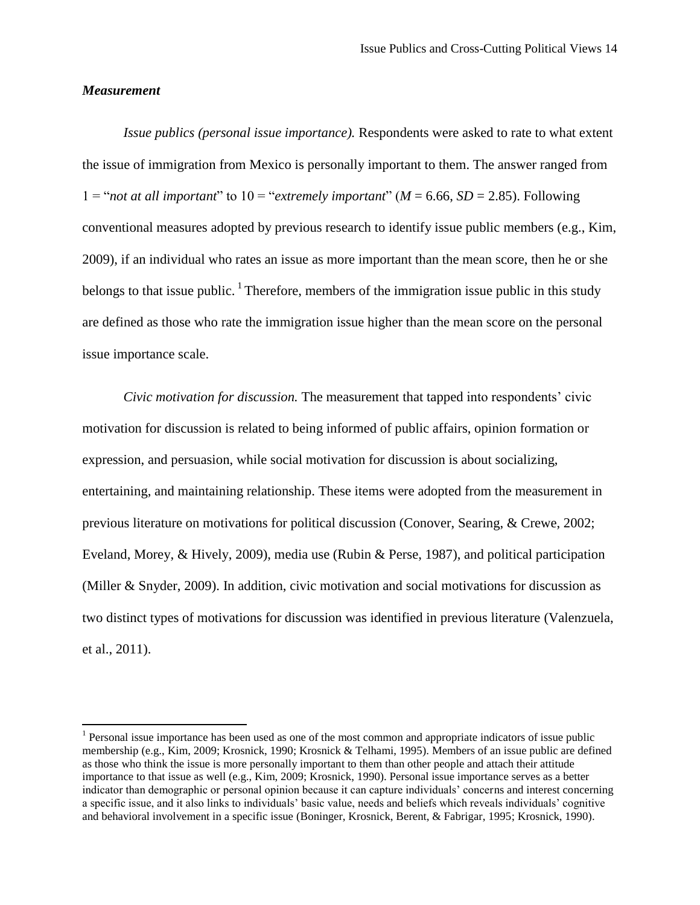# *Measurement*

 $\overline{\phantom{a}}$ 

*Issue publics (personal issue importance).* Respondents were asked to rate to what extent the issue of immigration from Mexico is personally important to them. The answer ranged from  $1 =$ "*not at all important*" to  $10 =$ "*extremely important*" ( $M = 6.66$ ,  $SD = 2.85$ ). Following conventional measures adopted by previous research to identify issue public members (e.g., Kim, 2009), if an individual who rates an issue as more important than the mean score, then he or she belongs to that issue public.  $\frac{1}{1}$  Therefore, members of the immigration issue public in this study are defined as those who rate the immigration issue higher than the mean score on the personal issue importance scale.

*Civic motivation for discussion.* The measurement that tapped into respondents' civic motivation for discussion is related to being informed of public affairs, opinion formation or expression, and persuasion, while social motivation for discussion is about socializing, entertaining, and maintaining relationship. These items were adopted from the measurement in previous literature on motivations for political discussion (Conover, Searing, & Crewe, 2002; Eveland, Morey, & Hively, 2009), media use (Rubin & Perse, 1987), and political participation (Miller & Snyder, 2009). In addition, civic motivation and social motivations for discussion as two distinct types of motivations for discussion was identified in previous literature [\(Valenzuela,](#page-34-2)  [et al., 2011\)](#page-34-2).

 $<sup>1</sup>$  Personal issue importance has been used as one of the most common and appropriate indicators of issue public</sup> membership (e.g.[, Kim, 2009;](#page-32-3) [Krosnick, 1990;](#page-33-0) [Krosnick & Telhami, 1995\)](#page-33-3). Members of an issue public are defined as those who think the issue is more personally important to them than other people and attach their attitude importance to that issue as well (e.g., Kim, 2009; Krosnick, 1990). Personal issue importance serves as a better indicator than demographic or personal opinion because it can capture individuals' concerns and interest concerning a specific issue, and it also links to individuals' basic value, needs and beliefs which reveals individuals' cognitive and behavioral involvement in a specific issue [\(Boninger, Krosnick, Berent, & Fabrigar, 1995;](#page-31-18) [Krosnick, 1990\)](#page-33-0).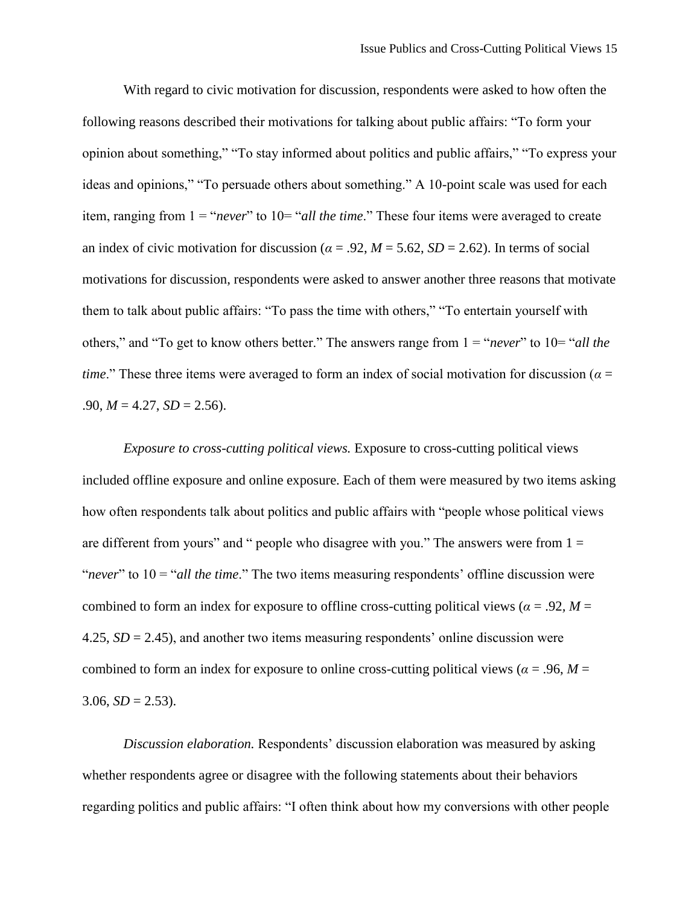With regard to civic motivation for discussion, respondents were asked to how often the following reasons described their motivations for talking about public affairs: "To form your opinion about something," "To stay informed about politics and public affairs," "To express your ideas and opinions," "To persuade others about something." A 10-point scale was used for each item, ranging from  $1 =$  "*never*" to  $10 =$  "*all the time*." These four items were averaged to create an index of civic motivation for discussion ( $\alpha$  = .92,  $M$  = 5.62,  $SD$  = 2.62). In terms of social motivations for discussion, respondents were asked to answer another three reasons that motivate them to talk about public affairs: "To pass the time with others," "To entertain yourself with others," and "To get to know others better." The answers range from 1 = "*never*" to 10= "*all the time*." These three items were averaged to form an index of social motivation for discussion (*α* =  $.90, M = 4.27, SD = 2.56$ .

*Exposure to cross-cutting political views.* Exposure to cross-cutting political views included offline exposure and online exposure. Each of them were measured by two items asking how often respondents talk about politics and public affairs with "people whose political views are different from yours" and " people who disagree with you." The answers were from  $1 =$ "*never*" to 10 = "*all the time*." The two items measuring respondents' offline discussion were combined to form an index for exposure to offline cross-cutting political views ( $\alpha$  = .92*, M* = 4.25, *SD* = 2.45), and another two items measuring respondents' online discussion were combined to form an index for exposure to online cross-cutting political views ( $\alpha$  = .96,  $M$  =  $3.06, SD = 2.53$ ).

*Discussion elaboration.* Respondents' discussion elaboration was measured by asking whether respondents agree or disagree with the following statements about their behaviors regarding politics and public affairs: "I often think about how my conversions with other people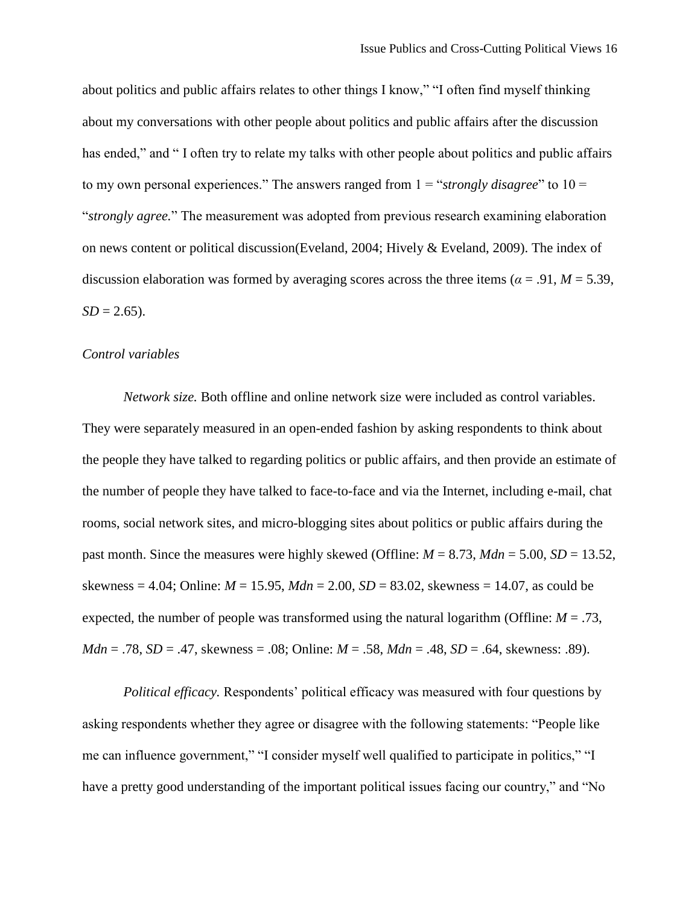about politics and public affairs relates to other things I know," "I often find myself thinking about my conversations with other people about politics and public affairs after the discussion has ended," and "I often try to relate my talks with other people about politics and public affairs to my own personal experiences." The answers ranged from 1 = "*strongly disagree*" to 10 = "*strongly agree.*" The measurement was adopted from previous research examining elaboration on news content or political discussion[\(Eveland, 2004;](#page-31-9) [Hively & Eveland, 2009\)](#page-32-16). The index of discussion elaboration was formed by averaging scores across the three items ( $\alpha$  = .91,  $M$  = 5.39,  $SD = 2.65$ ).

#### *Control variables*

*Network size.* Both offline and online network size were included as control variables. They were separately measured in an open-ended fashion by asking respondents to think about the people they have talked to regarding politics or public affairs, and then provide an estimate of the number of people they have talked to face-to-face and via the Internet, including e-mail, chat rooms, social network sites, and micro-blogging sites about politics or public affairs during the past month. Since the measures were highly skewed (Offline:  $M = 8.73$ ,  $Mdn = 5.00$ ,  $SD = 13.52$ , skewness = 4.04; Online: *M* = 15.95, *Mdn* = 2.00, *SD* = 83.02, skewness = 14.07, as could be expected, the number of people was transformed using the natural logarithm (Offline:  $M = .73$ , *Mdn* = .78, *SD* = .47, skewness = .08; Online:  $M = .58$ ,  $Mdn = .48$ ,  $SD = .64$ , skewness: .89).

*Political efficacy.* Respondents' political efficacy was measured with four questions by asking respondents whether they agree or disagree with the following statements: "People like me can influence government," "I consider myself well qualified to participate in politics," "I have a pretty good understanding of the important political issues facing our country," and "No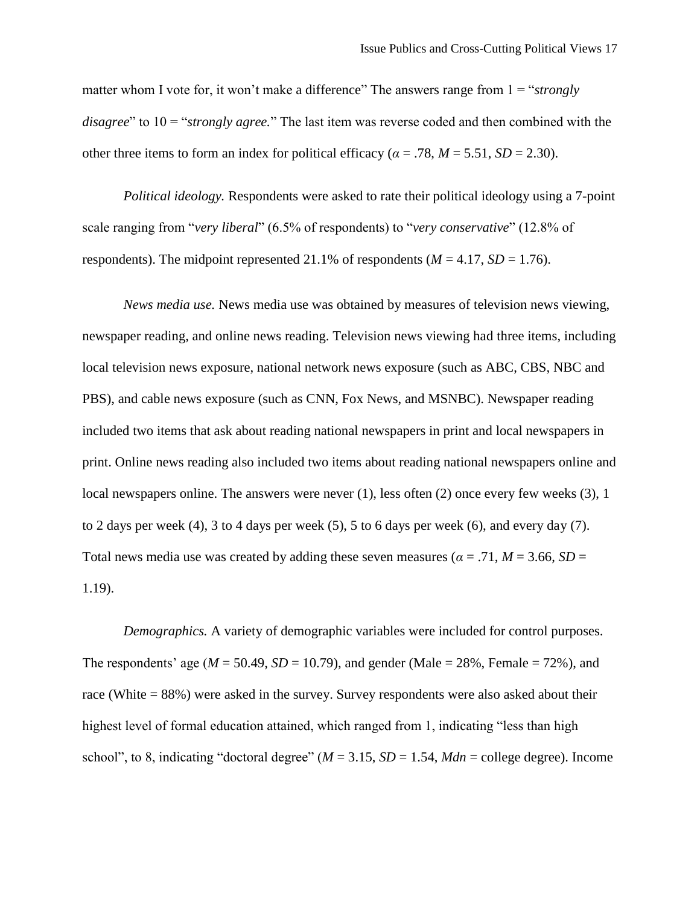matter whom I vote for, it won't make a difference" The answers range from  $1 = \frac{``strongly}{''}$ *disagree*" to 10 = "*strongly agree.*" The last item was reverse coded and then combined with the other three items to form an index for political efficacy ( $\alpha$  = .78,  $M$  = 5.51, *SD* = 2.30).

*Political ideology.* Respondents were asked to rate their political ideology using a 7-point scale ranging from "*very liberal*" (6.5% of respondents) to "*very conservative*" (12.8% of respondents). The midpoint represented 21.1% of respondents  $(M = 4.17, SD = 1.76)$ .

*News media use.* News media use was obtained by measures of television news viewing, newspaper reading, and online news reading. Television news viewing had three items, including local television news exposure, national network news exposure (such as ABC, CBS, NBC and PBS), and cable news exposure (such as CNN, Fox News, and MSNBC). Newspaper reading included two items that ask about reading national newspapers in print and local newspapers in print. Online news reading also included two items about reading national newspapers online and local newspapers online. The answers were never (1), less often (2) once every few weeks (3), 1 to 2 days per week (4), 3 to 4 days per week (5), 5 to 6 days per week (6), and every day (7). Total news media use was created by adding these seven measures ( $\alpha = .71$ ,  $M = 3.66$ ,  $SD =$ 1.19).

*Demographics.* A variety of demographic variables were included for control purposes. The respondents' age ( $M = 50.49$ ,  $SD = 10.79$ ), and gender (Male = 28%, Female = 72%), and race (White = 88%) were asked in the survey. Survey respondents were also asked about their highest level of formal education attained, which ranged from 1, indicating "less than high school", to 8, indicating "doctoral degree"  $(M = 3.15, SD = 1.54, Mdn =$  college degree). Income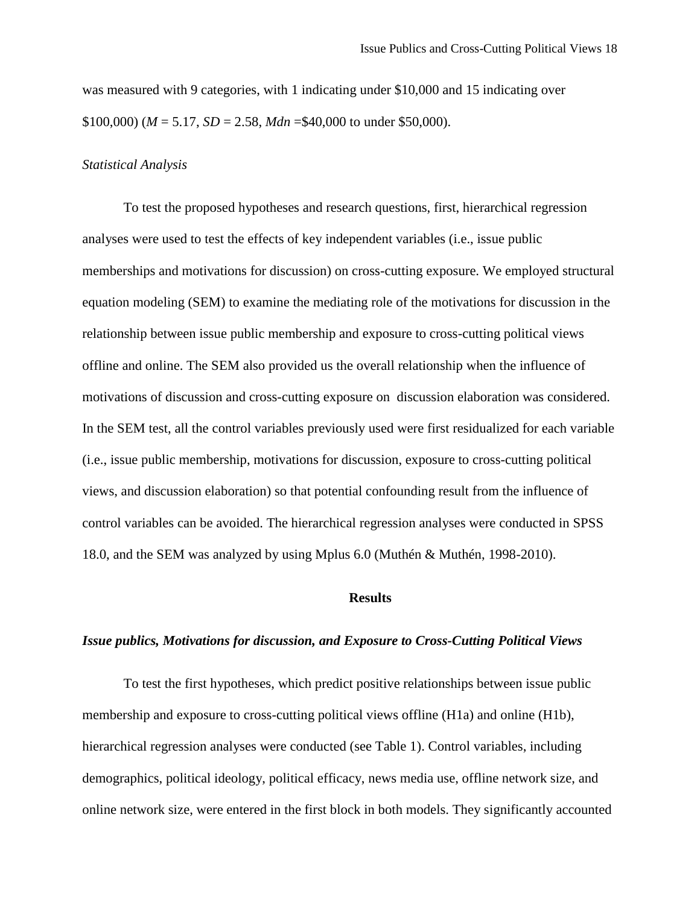was measured with 9 categories, with 1 indicating under \$10,000 and 15 indicating over \$100,000) ( $M = 5.17$ ,  $SD = 2.58$ ,  $Mdn = $40,000$  to under \$50,000).

#### *Statistical Analysis*

To test the proposed hypotheses and research questions, first, hierarchical regression analyses were used to test the effects of key independent variables (i.e., issue public memberships and motivations for discussion) on cross-cutting exposure. We employed structural equation modeling (SEM) to examine the mediating role of the motivations for discussion in the relationship between issue public membership and exposure to cross-cutting political views offline and online. The SEM also provided us the overall relationship when the influence of motivations of discussion and cross-cutting exposure on discussion elaboration was considered. In the SEM test, all the control variables previously used were first residualized for each variable (i.e., issue public membership, motivations for discussion, exposure to cross-cutting political views, and discussion elaboration) so that potential confounding result from the influence of control variables can be avoided. The hierarchical regression analyses were conducted in SPSS 18.0, and the SEM was analyzed by using Mplus 6.0 (Muthén & Muthén, 1998-2010).

# **Results**

# *Issue publics, Motivations for discussion, and Exposure to Cross-Cutting Political Views*

To test the first hypotheses, which predict positive relationships between issue public membership and exposure to cross-cutting political views offline (H1a) and online (H1b), hierarchical regression analyses were conducted (see Table 1). Control variables, including demographics, political ideology, political efficacy, news media use, offline network size, and online network size, were entered in the first block in both models. They significantly accounted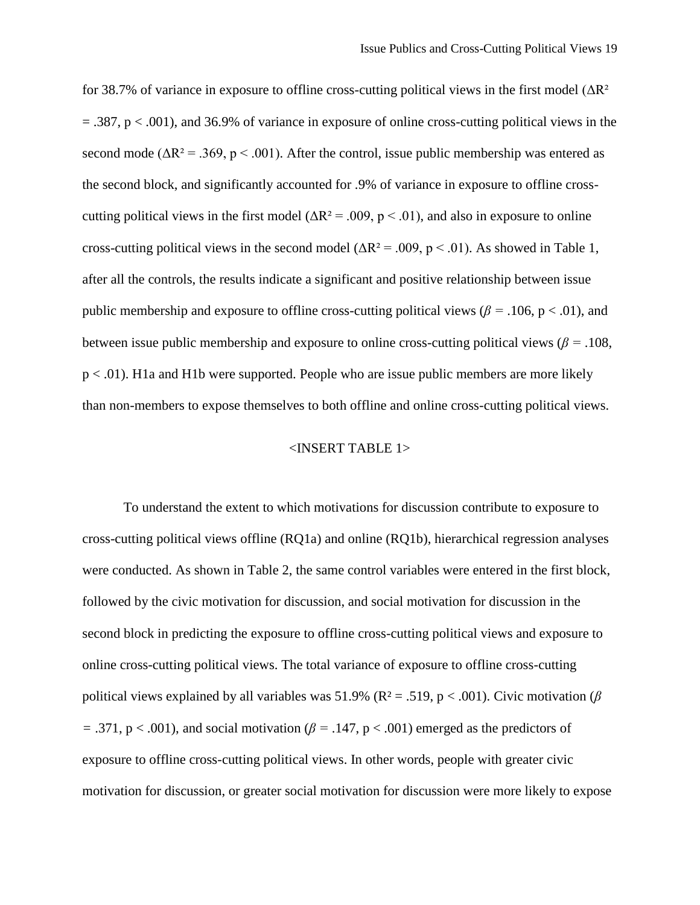for 38.7% of variance in exposure to offline cross-cutting political views in the first model  $(\Delta R^2)$  $= .387$ , p  $< .001$ ), and 36.9% of variance in exposure of online cross-cutting political views in the second mode ( $\Delta R^2$  = .369, p < .001). After the control, issue public membership was entered as the second block, and significantly accounted for .9% of variance in exposure to offline crosscutting political views in the first model ( $\Delta R^2 = .009$ , p < .01), and also in exposure to online cross-cutting political views in the second model ( $\Delta R^2 = .009$ , p < .01). As showed in Table 1, after all the controls, the results indicate a significant and positive relationship between issue public membership and exposure to offline cross-cutting political views ( $\beta = .106$ , p < .01), and between issue public membership and exposure to online cross-cutting political views ( $\beta$  = .108, p < .01). H1a and H1b were supported. People who are issue public members are more likely than non-members to expose themselves to both offline and online cross-cutting political views.

#### <INSERT TABLE 1>

To understand the extent to which motivations for discussion contribute to exposure to cross-cutting political views offline (RQ1a) and online (RQ1b), hierarchical regression analyses were conducted. As shown in Table 2, the same control variables were entered in the first block, followed by the civic motivation for discussion, and social motivation for discussion in the second block in predicting the exposure to offline cross-cutting political views and exposure to online cross-cutting political views. The total variance of exposure to offline cross-cutting political views explained by all variables was 51.9% ( $R^2 = .519$ ,  $p < .001$ ). Civic motivation ( $\beta$ *=* .371, p < .001), and social motivation (*β =* .147, p < .001) emerged as the predictors of exposure to offline cross-cutting political views. In other words, people with greater civic motivation for discussion, or greater social motivation for discussion were more likely to expose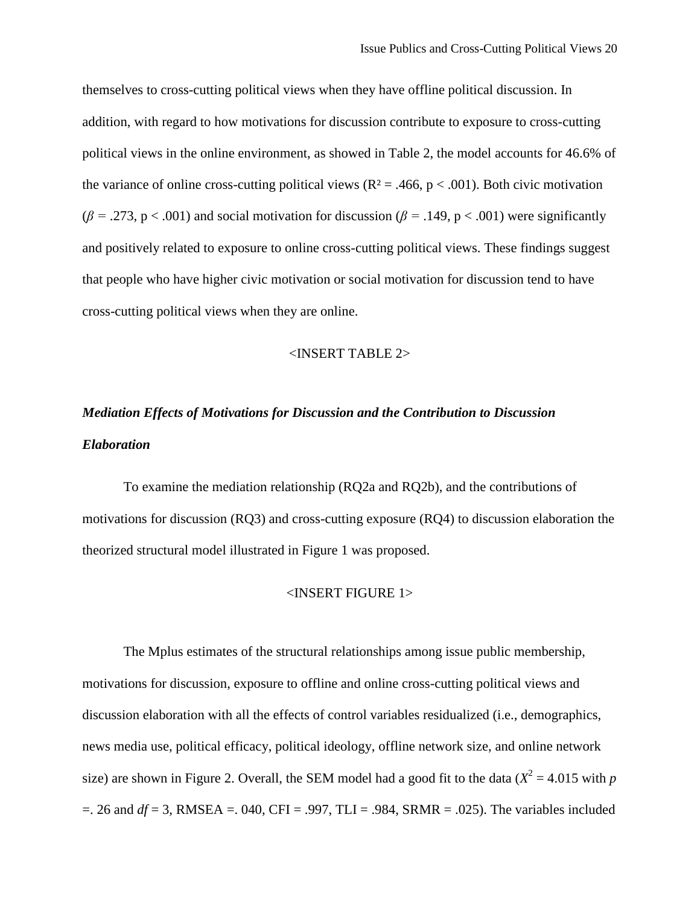themselves to cross-cutting political views when they have offline political discussion. In addition, with regard to how motivations for discussion contribute to exposure to cross-cutting political views in the online environment, as showed in Table 2, the model accounts for 46.6% of the variance of online cross-cutting political views ( $R^2 = .466$ ,  $p < .001$ ). Both civic motivation  $(\beta = .273, p < .001)$  and social motivation for discussion ( $\beta = .149, p < .001$ ) were significantly and positively related to exposure to online cross-cutting political views. These findings suggest that people who have higher civic motivation or social motivation for discussion tend to have cross-cutting political views when they are online.

#### <INSERT TABLE 2>

# *Mediation Effects of Motivations for Discussion and the Contribution to Discussion Elaboration*

To examine the mediation relationship (RQ2a and RQ2b), and the contributions of motivations for discussion (RQ3) and cross-cutting exposure (RQ4) to discussion elaboration the theorized structural model illustrated in Figure 1 was proposed.

# <INSERT FIGURE 1>

The Mplus estimates of the structural relationships among issue public membership, motivations for discussion, exposure to offline and online cross-cutting political views and discussion elaboration with all the effects of control variables residualized (i.e., demographics, news media use, political efficacy, political ideology, offline network size, and online network size) are shown in Figure 2. Overall, the SEM model had a good fit to the data ( $X^2 = 4.015$  with *p*  $=$ . 26 and  $df = 3$ , RMSEA = .040, CFI = .997, TLI = .984, SRMR = .025). The variables included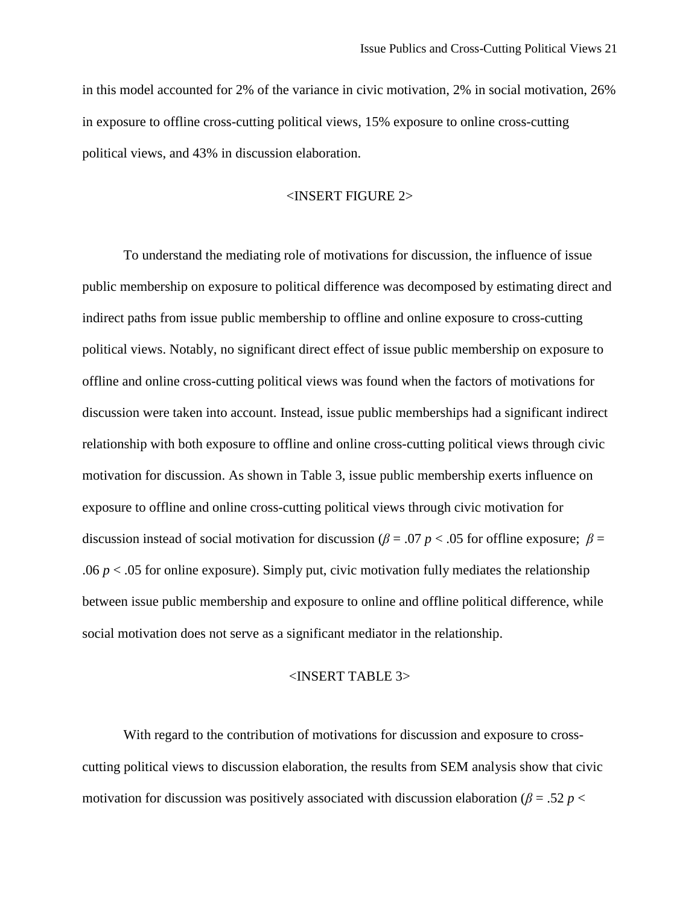in this model accounted for 2% of the variance in civic motivation, 2% in social motivation, 26% in exposure to offline cross-cutting political views, 15% exposure to online cross-cutting political views, and 43% in discussion elaboration.

#### <INSERT FIGURE 2>

To understand the mediating role of motivations for discussion, the influence of issue public membership on exposure to political difference was decomposed by estimating direct and indirect paths from issue public membership to offline and online exposure to cross-cutting political views. Notably, no significant direct effect of issue public membership on exposure to offline and online cross-cutting political views was found when the factors of motivations for discussion were taken into account. Instead, issue public memberships had a significant indirect relationship with both exposure to offline and online cross-cutting political views through civic motivation for discussion. As shown in Table 3, issue public membership exerts influence on exposure to offline and online cross-cutting political views through civic motivation for discussion instead of social motivation for discussion ( $\beta = .07 \, p < .05$  for offline exposure;  $\beta =$ .06  $p < 0.05$  for online exposure). Simply put, civic motivation fully mediates the relationship between issue public membership and exposure to online and offline political difference, while social motivation does not serve as a significant mediator in the relationship.

#### <INSERT TABLE 3>

With regard to the contribution of motivations for discussion and exposure to crosscutting political views to discussion elaboration, the results from SEM analysis show that civic motivation for discussion was positively associated with discussion elaboration ( $\beta = 0.52 p <$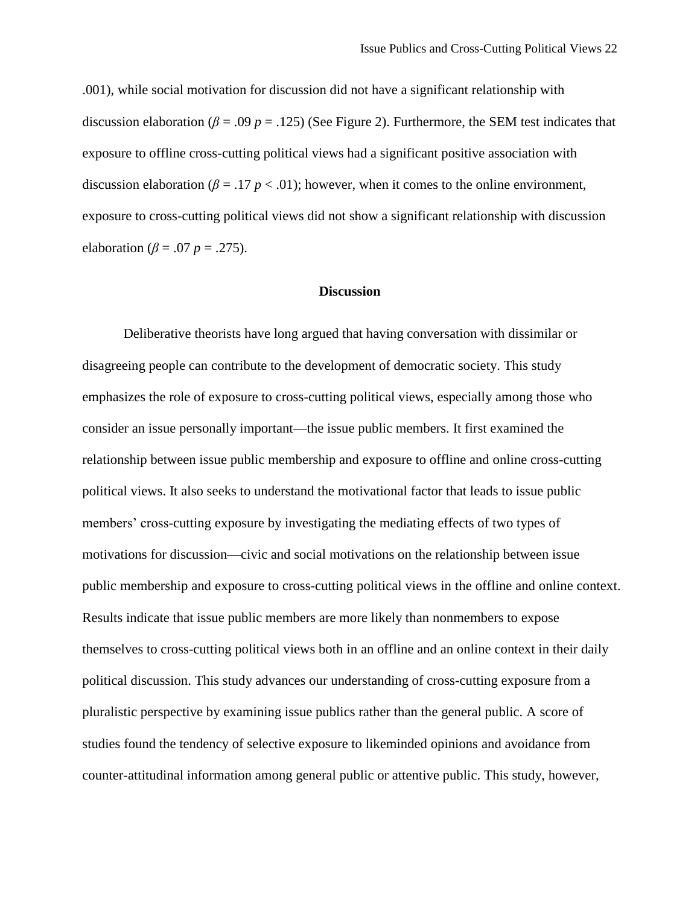.001), while social motivation for discussion did not have a significant relationship with discussion elaboration ( $\beta$  = .09  $p$  = .125) (See Figure 2). Furthermore, the SEM test indicates that exposure to offline cross-cutting political views had a significant positive association with discussion elaboration ( $\beta = .17 \ p < .01$ ); however, when it comes to the online environment, exposure to cross-cutting political views did not show a significant relationship with discussion elaboration ( $\beta$  = .07 *p* = .275).

# **Discussion**

Deliberative theorists have long argued that having conversation with dissimilar or disagreeing people can contribute to the development of democratic society. This study emphasizes the role of exposure to cross-cutting political views, especially among those who consider an issue personally important—the issue public members. It first examined the relationship between issue public membership and exposure to offline and online cross-cutting political views. It also seeks to understand the motivational factor that leads to issue public members' cross-cutting exposure by investigating the mediating effects of two types of motivations for discussion—civic and social motivations on the relationship between issue public membership and exposure to cross-cutting political views in the offline and online context. Results indicate that issue public members are more likely than nonmembers to expose themselves to cross-cutting political views both in an offline and an online context in their daily political discussion. This study advances our understanding of cross-cutting exposure from a pluralistic perspective by examining issue publics rather than the general public. A score of studies found the tendency of selective exposure to likeminded opinions and avoidance from counter-attitudinal information among general public or attentive public. This study, however,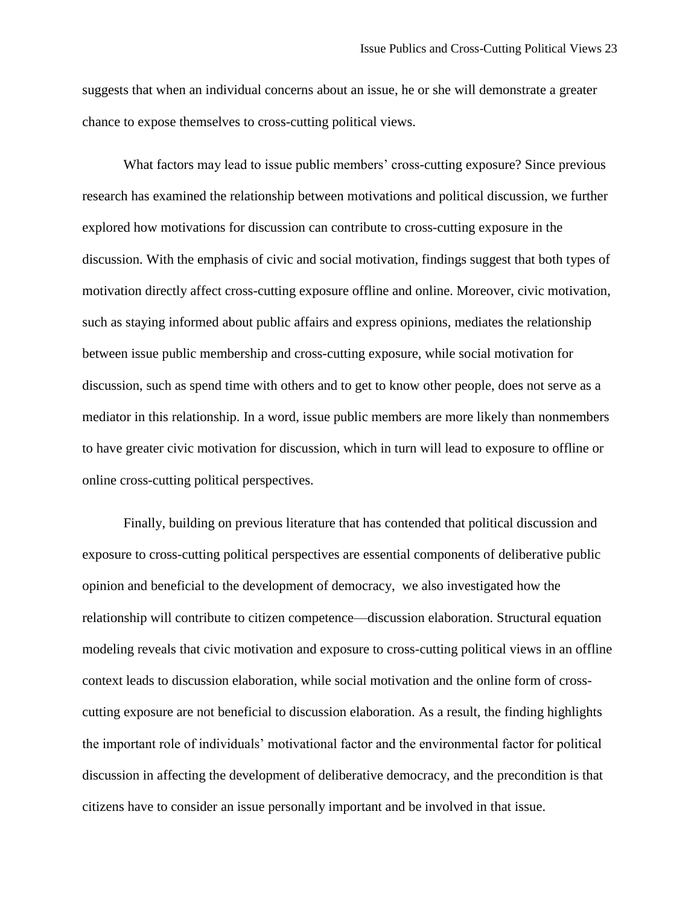suggests that when an individual concerns about an issue, he or she will demonstrate a greater chance to expose themselves to cross-cutting political views.

What factors may lead to issue public members' cross-cutting exposure? Since previous research has examined the relationship between motivations and political discussion, we further explored how motivations for discussion can contribute to cross-cutting exposure in the discussion. With the emphasis of civic and social motivation, findings suggest that both types of motivation directly affect cross-cutting exposure offline and online. Moreover, civic motivation, such as staying informed about public affairs and express opinions, mediates the relationship between issue public membership and cross-cutting exposure, while social motivation for discussion, such as spend time with others and to get to know other people, does not serve as a mediator in this relationship. In a word, issue public members are more likely than nonmembers to have greater civic motivation for discussion, which in turn will lead to exposure to offline or online cross-cutting political perspectives.

Finally, building on previous literature that has contended that political discussion and exposure to cross-cutting political perspectives are essential components of deliberative public opinion and beneficial to the development of democracy, we also investigated how the relationship will contribute to citizen competence—discussion elaboration. Structural equation modeling reveals that civic motivation and exposure to cross-cutting political views in an offline context leads to discussion elaboration, while social motivation and the online form of crosscutting exposure are not beneficial to discussion elaboration. As a result, the finding highlights the important role of individuals' motivational factor and the environmental factor for political discussion in affecting the development of deliberative democracy, and the precondition is that citizens have to consider an issue personally important and be involved in that issue.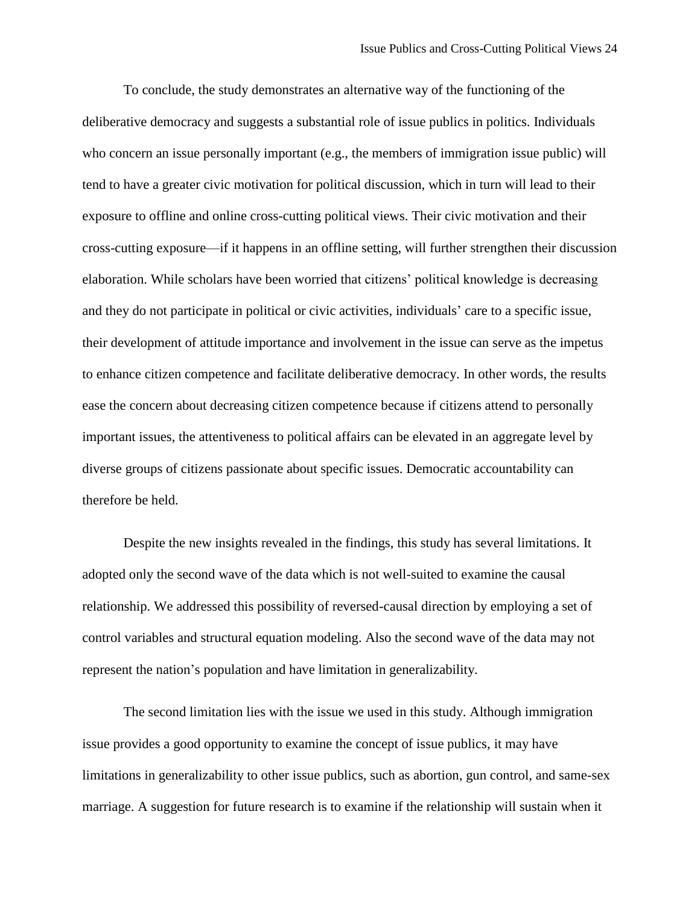To conclude, the study demonstrates an alternative way of the functioning of the deliberative democracy and suggests a substantial role of issue publics in politics. Individuals who concern an issue personally important (e.g., the members of immigration issue public) will tend to have a greater civic motivation for political discussion, which in turn will lead to their exposure to offline and online cross-cutting political views. Their civic motivation and their cross-cutting exposure—if it happens in an offline setting, will further strengthen their discussion elaboration. While scholars have been worried that citizens' political knowledge is decreasing and they do not participate in political or civic activities, individuals' care to a specific issue, their development of attitude importance and involvement in the issue can serve as the impetus to enhance citizen competence and facilitate deliberative democracy. In other words, the results ease the concern about decreasing citizen competence because if citizens attend to personally important issues, the attentiveness to political affairs can be elevated in an aggregate level by diverse groups of citizens passionate about specific issues. Democratic accountability can therefore be held.

Despite the new insights revealed in the findings, this study has several limitations. It adopted only the second wave of the data which is not well-suited to examine the causal relationship. We addressed this possibility of reversed-causal direction by employing a set of control variables and structural equation modeling. Also the second wave of the data may not represent the nation's population and have limitation in generalizability.

The second limitation lies with the issue we used in this study. Although immigration issue provides a good opportunity to examine the concept of issue publics, it may have limitations in generalizability to other issue publics, such as abortion, gun control, and same-sex marriage. A suggestion for future research is to examine if the relationship will sustain when it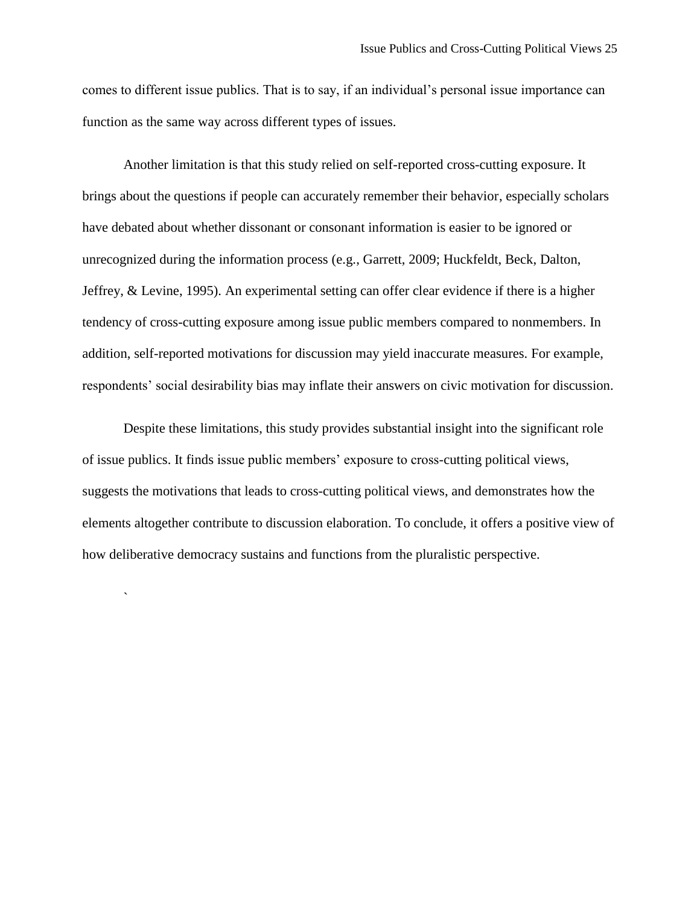comes to different issue publics. That is to say, if an individual's personal issue importance can function as the same way across different types of issues.

Another limitation is that this study relied on self-reported cross-cutting exposure. It brings about the questions if people can accurately remember their behavior, especially scholars have debated about whether dissonant or consonant information is easier to be ignored or unrecognized during the information process (e.g., [Garrett, 2009;](#page-32-4) [Huckfeldt, Beck, Dalton,](#page-32-18)  [Jeffrey, & Levine, 1995\)](#page-32-18). An experimental setting can offer clear evidence if there is a higher tendency of cross-cutting exposure among issue public members compared to nonmembers. In addition, self-reported motivations for discussion may yield inaccurate measures. For example, respondents' social desirability bias may inflate their answers on civic motivation for discussion.

Despite these limitations, this study provides substantial insight into the significant role of issue publics. It finds issue public members' exposure to cross-cutting political views, suggests the motivations that leads to cross-cutting political views, and demonstrates how the elements altogether contribute to discussion elaboration. To conclude, it offers a positive view of how deliberative democracy sustains and functions from the pluralistic perspective.

`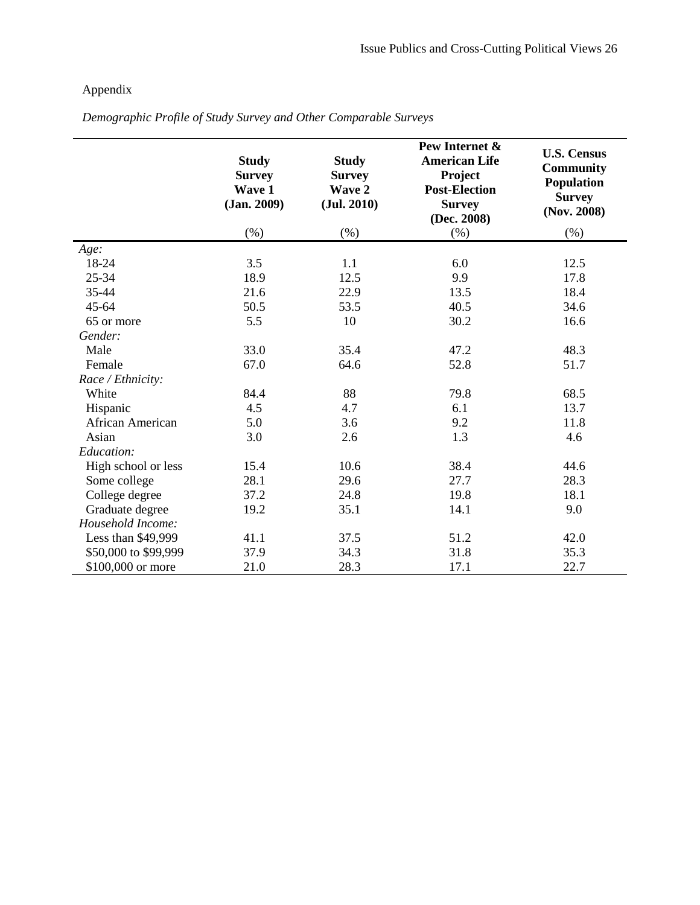# Appendix

|                      | <b>Study</b><br><b>Survey</b><br>Wave 1<br>(Jan. 2009) | <b>Study</b><br><b>Survey</b><br>Wave 2<br>(Jul. 2010) | Pew Internet &<br><b>American Life</b><br>Project<br><b>Post-Election</b><br><b>Survey</b><br>(Dec. 2008) | <b>U.S. Census</b><br><b>Community</b><br><b>Population</b><br><b>Survey</b><br>(Nov. 2008) |
|----------------------|--------------------------------------------------------|--------------------------------------------------------|-----------------------------------------------------------------------------------------------------------|---------------------------------------------------------------------------------------------|
|                      | (%)                                                    | (% )                                                   | $(\%)$                                                                                                    | (% )                                                                                        |
| Age:                 |                                                        |                                                        |                                                                                                           |                                                                                             |
| 18-24                | 3.5                                                    | 1.1                                                    | 6.0                                                                                                       | 12.5                                                                                        |
| 25-34                | 18.9                                                   | 12.5                                                   | 9.9                                                                                                       | 17.8                                                                                        |
| 35-44                | 21.6                                                   | 22.9                                                   | 13.5                                                                                                      | 18.4                                                                                        |
| $45 - 64$            | 50.5                                                   | 53.5                                                   | 40.5                                                                                                      | 34.6                                                                                        |
| 65 or more           | 5.5                                                    | 10                                                     | 30.2                                                                                                      | 16.6                                                                                        |
| Gender:              |                                                        |                                                        |                                                                                                           |                                                                                             |
| Male                 | 33.0                                                   | 35.4                                                   | 47.2                                                                                                      | 48.3                                                                                        |
| Female               | 67.0                                                   | 64.6                                                   | 52.8                                                                                                      | 51.7                                                                                        |
| Race / Ethnicity:    |                                                        |                                                        |                                                                                                           |                                                                                             |
| White                | 84.4                                                   | 88                                                     | 79.8                                                                                                      | 68.5                                                                                        |
| Hispanic             | 4.5                                                    | 4.7                                                    | 6.1                                                                                                       | 13.7                                                                                        |
| African American     | 5.0                                                    | 3.6                                                    | 9.2                                                                                                       | 11.8                                                                                        |
| Asian                | 3.0                                                    | 2.6                                                    | 1.3                                                                                                       | 4.6                                                                                         |
| Education:           |                                                        |                                                        |                                                                                                           |                                                                                             |
| High school or less  | 15.4                                                   | 10.6                                                   | 38.4                                                                                                      | 44.6                                                                                        |
| Some college         | 28.1                                                   | 29.6                                                   | 27.7                                                                                                      | 28.3                                                                                        |
| College degree       | 37.2                                                   | 24.8                                                   | 19.8                                                                                                      | 18.1                                                                                        |
| Graduate degree      | 19.2                                                   | 35.1                                                   | 14.1                                                                                                      | 9.0                                                                                         |
| Household Income:    |                                                        |                                                        |                                                                                                           |                                                                                             |
| Less than \$49,999   | 41.1                                                   | 37.5                                                   | 51.2                                                                                                      | 42.0                                                                                        |
| \$50,000 to \$99,999 | 37.9                                                   | 34.3                                                   | 31.8                                                                                                      | 35.3                                                                                        |
| \$100,000 or more    | 21.0                                                   | 28.3                                                   | 17.1                                                                                                      | 22.7                                                                                        |

*Demographic Profile of Study Survey and Other Comparable Surveys*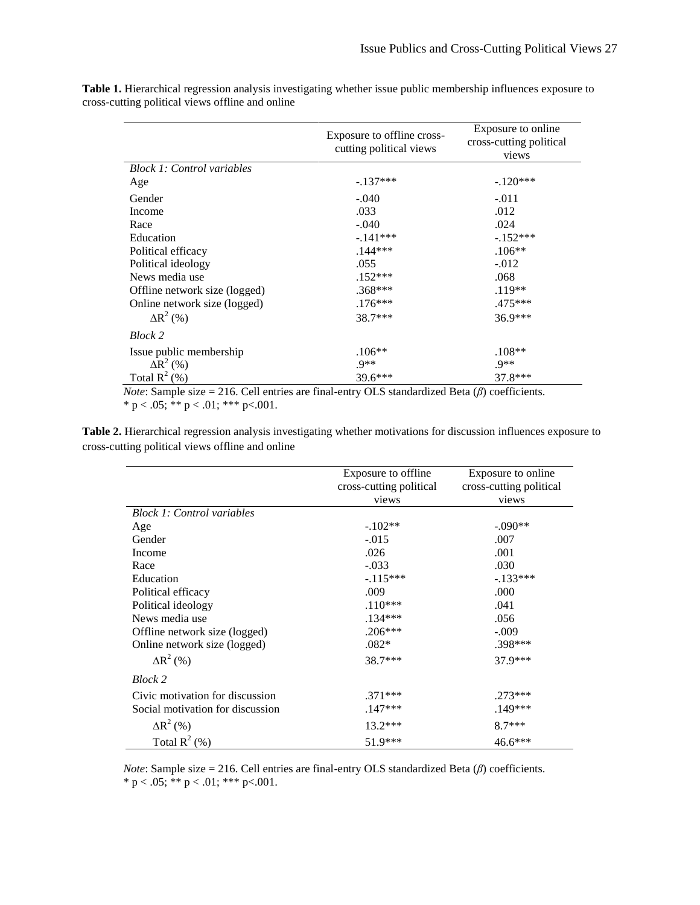|                                   | Exposure to offline cross-<br>cutting political views | Exposure to online<br>cross-cutting political<br>views |
|-----------------------------------|-------------------------------------------------------|--------------------------------------------------------|
| <b>Block 1: Control variables</b> |                                                       |                                                        |
| Age                               | $-.137***$                                            | $-.120***$                                             |
| Gender                            | $-.040$                                               | $-.011$                                                |
| Income                            | .033                                                  | .012                                                   |
| Race                              | $-.040$                                               | .024                                                   |
| Education                         | $-.141***$                                            | $-.152***$                                             |
| Political efficacy                | $.144***$                                             | $.106**$                                               |
| Political ideology                | .055                                                  | $-.012$                                                |
| News media use                    | $.152***$                                             | .068                                                   |
| Offline network size (logged)     | $.368***$                                             | $.119**$                                               |
| Online network size (logged)      | $.176***$                                             | .475***                                                |
| $\Delta R^2$ (%)                  | 38.7***                                               | 36.9***                                                |
| Block 2                           |                                                       |                                                        |
| Issue public membership           | $.106**$                                              | $.108**$                                               |
| $\overline{\Delta R}^2$ (%)       | $.9**$                                                | $.9**$                                                 |
| Total $R^2$ (%)                   | $39.6***$                                             | 37.8***                                                |

**Table 1.** Hierarchical regression analysis investigating whether issue public membership influences exposure to cross-cutting political views offline and online

*Note*: Sample size = 216. Cell entries are final-entry OLS standardized Beta (*β*) coefficients. \* p < .05; \*\* p < .01; \*\*\* p<.001.

**Table 2.** Hierarchical regression analysis investigating whether motivations for discussion influences exposure to cross-cutting political views offline and online

|                                   | Exposure to offline<br>cross-cutting political<br>views | Exposure to online<br>cross-cutting political<br>views |
|-----------------------------------|---------------------------------------------------------|--------------------------------------------------------|
| <b>Block 1: Control variables</b> |                                                         |                                                        |
| Age                               | $-.102**$                                               | $-.090**$                                              |
| Gender                            | $-.015$                                                 | .007                                                   |
| Income                            | .026                                                    | .001                                                   |
| Race                              | $-.033$                                                 | .030                                                   |
| Education                         | $-.115***$                                              | $-.133***$                                             |
| Political efficacy                | .009                                                    | .000                                                   |
| Political ideology                | $.110***$                                               | .041                                                   |
| News media use                    | .134***                                                 | .056                                                   |
| Offline network size (logged)     | $.206***$                                               | $-.009$                                                |
| Online network size (logged)      | $.082*$                                                 | .398***                                                |
| $\Delta R^2$ (%)                  | 38.7***                                                 | 37.9***                                                |
| Block 2                           |                                                         |                                                        |
| Civic motivation for discussion   | .371***                                                 | $.273***$                                              |
| Social motivation for discussion  | $.147***$                                               | $.149***$                                              |
| $\Delta R^2$ (%)                  | $13.2***$                                               | $8.7***$                                               |
| Total $R^2$ (%)                   | $51.9***$                                               | 46.6***                                                |

*Note*: Sample size = 216. Cell entries are final-entry OLS standardized Beta (*β*) coefficients. \* p < .05; \*\* p < .01; \*\*\* p < .001.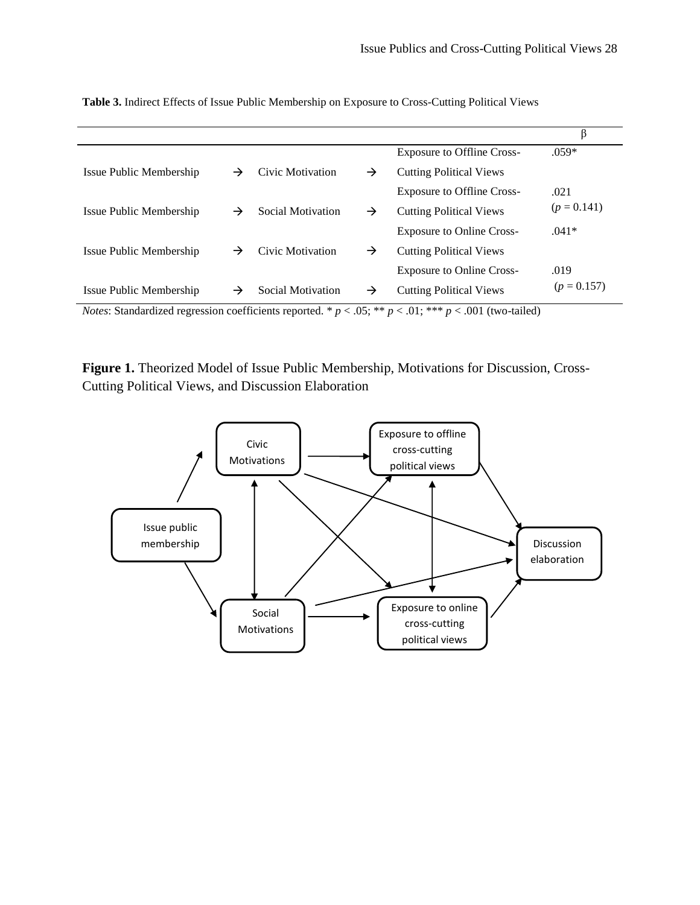|                         |               |                   |   |                                   | β             |
|-------------------------|---------------|-------------------|---|-----------------------------------|---------------|
|                         |               |                   |   | <b>Exposure to Offline Cross-</b> | $.059*$       |
| Issue Public Membership | $\rightarrow$ | Civic Motivation  | → | <b>Cutting Political Views</b>    |               |
|                         |               |                   |   | <b>Exposure to Offline Cross-</b> | .021          |
| Issue Public Membership | →             | Social Motivation | → | <b>Cutting Political Views</b>    | $(p = 0.141)$ |
|                         |               |                   |   | <b>Exposure to Online Cross-</b>  | $.041*$       |
| Issue Public Membership | →             | Civic Motivation  | → | <b>Cutting Political Views</b>    |               |
|                         |               |                   |   | <b>Exposure to Online Cross-</b>  | .019          |
| Issue Public Membership | →             | Social Motivation | → | <b>Cutting Political Views</b>    | $(p = 0.157)$ |

**Table 3.** Indirect Effects of Issue Public Membership on Exposure to Cross-Cutting Political Views

*Notes*: Standardized regression coefficients reported. \*  $p < .05$ ; \*\*  $p < .01$ ; \*\*\*  $p < .001$  (two-tailed)

**Figure 1.** Theorized Model of Issue Public Membership, Motivations for Discussion, Cross-Cutting Political Views, and Discussion Elaboration

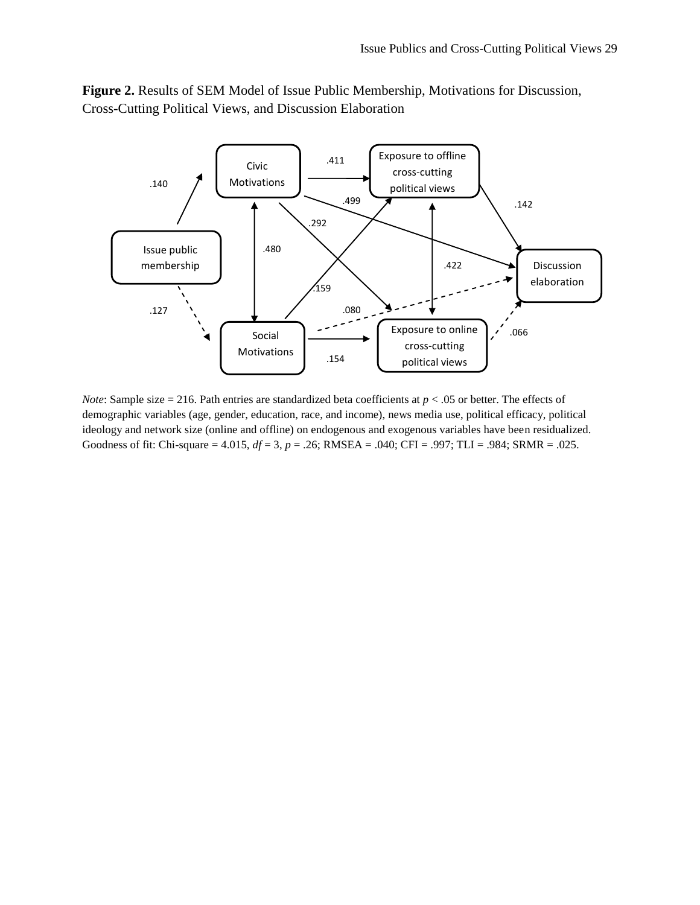



*Note*: Sample size = 216. Path entries are standardized beta coefficients at  $p < .05$  or better. The effects of demographic variables (age, gender, education, race, and income), news media use, political efficacy, political ideology and network size (online and offline) on endogenous and exogenous variables have been residualized. Goodness of fit: Chi-square = 4.015, *df* = 3, *p* = .26; RMSEA = .040; CFI = .997; TLI = .984; SRMR = .025.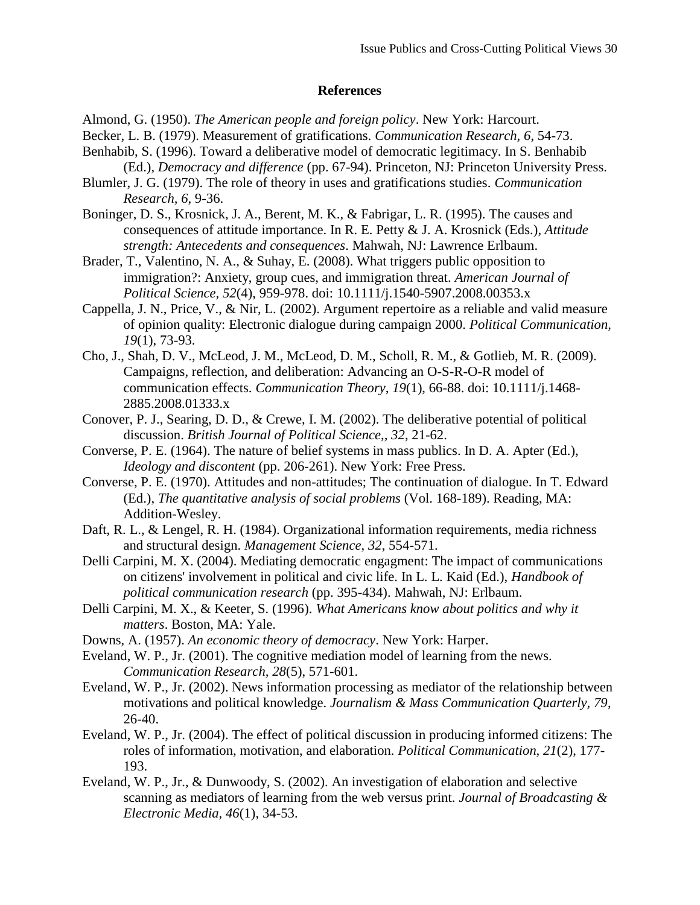# **References**

<span id="page-31-4"></span>Almond, G. (1950). *The American people and foreign policy*. New York: Harcourt.

- <span id="page-31-11"></span>Becker, L. B. (1979). Measurement of gratifications. *Communication Research, 6*, 54-73.
- <span id="page-31-13"></span>Benhabib, S. (1996). Toward a deliberative model of democratic legitimacy. In S. Benhabib (Ed.), *Democracy and difference* (pp. 67-94). Princeton, NJ: Princeton University Press.
- <span id="page-31-12"></span>Blumler, J. G. (1979). The role of theory in uses and gratifications studies. *Communication Research, 6*, 9-36.
- <span id="page-31-18"></span>Boninger, D. S., Krosnick, J. A., Berent, M. K., & Fabrigar, L. R. (1995). The causes and consequences of attitude importance. In R. E. Petty & J. A. Krosnick (Eds.), *Attitude strength: Antecedents and consequences*. Mahwah, NJ: Lawrence Erlbaum.
- <span id="page-31-17"></span>Brader, T., Valentino, N. A., & Suhay, E. (2008). What triggers public opposition to immigration?: Anxiety, group cues, and immigration threat. *American Journal of Political Science, 52*(4), 959-978. doi: 10.1111/j.1540-5907.2008.00353.x
- <span id="page-31-14"></span>Cappella, J. N., Price, V., & Nir, L. (2002). Argument repertoire as a reliable and valid measure of opinion quality: Electronic dialogue during campaign 2000. *Political Communication, 19*(1), 73-93.
- <span id="page-31-8"></span>Cho, J., Shah, D. V., McLeod, J. M., McLeod, D. M., Scholl, R. M., & Gotlieb, M. R. (2009). Campaigns, reflection, and deliberation: Advancing an O-S-R-O-R model of communication effects. *Communication Theory, 19*(1), 66-88. doi: 10.1111/j.1468- 2885.2008.01333.x
- <span id="page-31-5"></span>Conover, P. J., Searing, D. D., & Crewe, I. M. (2002). The deliberative potential of political discussion. *British Journal of Political Science,, 32*, 21-62.
- <span id="page-31-0"></span>Converse, P. E. (1964). The nature of belief systems in mass publics. In D. A. Apter (Ed.), *Ideology and discontent* (pp. 206-261). New York: Free Press.
- <span id="page-31-1"></span>Converse, P. E. (1970). Attitudes and non-attitudes; The continuation of dialogue. In T. Edward (Ed.), *The quantitative analysis of social problems* (Vol. 168-189). Reading, MA: Addition-Wesley.
- <span id="page-31-16"></span>Daft, R. L., & Lengel, R. H. (1984). Organizational information requirements, media richness and structural design. *Management Science, 32*, 554-571.
- <span id="page-31-15"></span>Delli Carpini, M. X. (2004). Mediating democratic engagment: The impact of communications on citizens' involvement in political and civic life. In L. L. Kaid (Ed.), *Handbook of political communication research* (pp. 395-434). Mahwah, NJ: Erlbaum.
- <span id="page-31-2"></span>Delli Carpini, M. X., & Keeter, S. (1996). *What Americans know about politics and why it matters*. Boston, MA: Yale.
- <span id="page-31-3"></span>Downs, A. (1957). *An economic theory of democracy*. New York: Harper.
- <span id="page-31-6"></span>Eveland, W. P., Jr. (2001). The cognitive mediation model of learning from the news. *Communication Research, 28*(5), 571-601.
- <span id="page-31-10"></span>Eveland, W. P., Jr. (2002). News information processing as mediator of the relationship between motivations and political knowledge. *Journalism & Mass Communication Quarterly, 79*, 26-40.
- <span id="page-31-9"></span>Eveland, W. P., Jr. (2004). The effect of political discussion in producing informed citizens: The roles of information, motivation, and elaboration. *Political Communication, 21*(2), 177- 193.
- <span id="page-31-7"></span>Eveland, W. P., Jr., & Dunwoody, S. (2002). An investigation of elaboration and selective scanning as mediators of learning from the web versus print. *Journal of Broadcasting & Electronic Media, 46*(1), 34-53.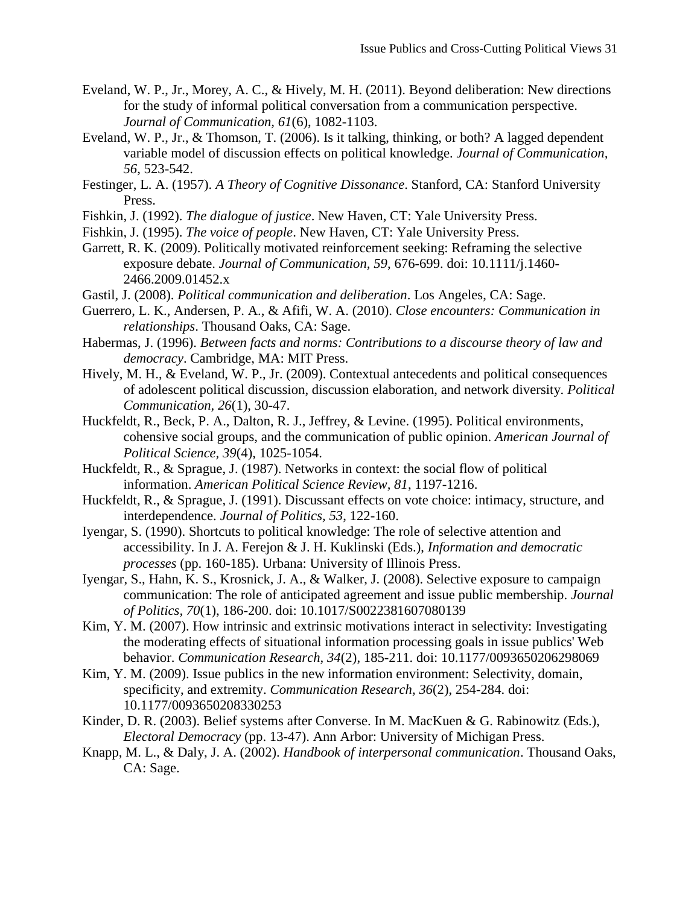- <span id="page-32-7"></span>Eveland, W. P., Jr., Morey, A. C., & Hively, M. H. (2011). Beyond deliberation: New directions for the study of informal political conversation from a communication perspective. *Journal of Communication, 61*(6), 1082-1103.
- <span id="page-32-15"></span>Eveland, W. P., Jr., & Thomson, T. (2006). Is it talking, thinking, or both? A lagged dependent variable model of discussion effects on political knowledge. *Journal of Communication, 56*, 523-542.
- <span id="page-32-1"></span>Festinger, L. A. (1957). *A Theory of Cognitive Dissonance*. Stanford, CA: Stanford University Press.
- <span id="page-32-10"></span>Fishkin, J. (1992). *The dialogue of justice*. New Haven, CT: Yale University Press.
- <span id="page-32-11"></span>Fishkin, J. (1995). *The voice of people*. New Haven, CT: Yale University Press.
- <span id="page-32-4"></span>Garrett, R. K. (2009). Politically motivated reinforcement seeking: Reframing the selective exposure debate. *Journal of Communication, 59*, 676-699. doi: 10.1111/j.1460- 2466.2009.01452.x
- <span id="page-32-12"></span>Gastil, J. (2008). *Political communication and deliberation*. Los Angeles, CA: Sage.
- <span id="page-32-14"></span>Guerrero, L. K., Andersen, P. A., & Afifi, W. A. (2010). *Close encounters: Communication in relationships*. Thousand Oaks, CA: Sage.
- <span id="page-32-13"></span>Habermas, J. (1996). *Between facts and norms: Contributions to a discourse theory of law and democracy*. Cambridge, MA: MIT Press.
- <span id="page-32-16"></span>Hively, M. H., & Eveland, W. P., Jr. (2009). Contextual antecedents and political consequences of adolescent political discussion, discussion elaboration, and network diversity. *Political Communication, 26*(1), 30-47.
- <span id="page-32-18"></span>Huckfeldt, R., Beck, P. A., Dalton, R. J., Jeffrey, & Levine. (1995). Political environments, cohensive social groups, and the communication of public opinion. *American Journal of Political Science, 39*(4), 1025-1054.
- <span id="page-32-8"></span>Huckfeldt, R., & Sprague, J. (1987). Networks in context: the social flow of political information. *American Political Science Review, 81*, 1197-1216.
- <span id="page-32-9"></span>Huckfeldt, R., & Sprague, J. (1991). Discussant effects on vote choice: intimacy, structure, and interdependence. *Journal of Politics, 53*, 122-160.
- <span id="page-32-2"></span>Iyengar, S. (1990). Shortcuts to political knowledge: The role of selective attention and accessibility. In J. A. Ferejon & J. H. Kuklinski (Eds.), *Information and democratic processes* (pp. 160-185). Urbana: University of Illinois Press.
- <span id="page-32-0"></span>Iyengar, S., Hahn, K. S., Krosnick, J. A., & Walker, J. (2008). Selective exposure to campaign communication: The role of anticipated agreement and issue public membership. *Journal of Politics, 70*(1), 186-200. doi: 10.1017/S0022381607080139
- <span id="page-32-5"></span>Kim, Y. M. (2007). How intrinsic and extrinsic motivations interact in selectivity: Investigating the moderating effects of situational information processing goals in issue publics' Web behavior. *Communication Research, 34*(2), 185-211. doi: 10.1177/0093650206298069
- <span id="page-32-3"></span>Kim, Y. M. (2009). Issue publics in the new information environment: Selectivity, domain, specificity, and extremity. *Communication Research, 36*(2), 254-284. doi: 10.1177/0093650208330253
- <span id="page-32-17"></span>Kinder, D. R. (2003). Belief systems after Converse. In M. MacKuen & G. Rabinowitz (Eds.), *Electoral Democracy* (pp. 13-47). Ann Arbor: University of Michigan Press.
- <span id="page-32-6"></span>Knapp, M. L., & Daly, J. A. (2002). *Handbook of interpersonal communication*. Thousand Oaks, CA: Sage.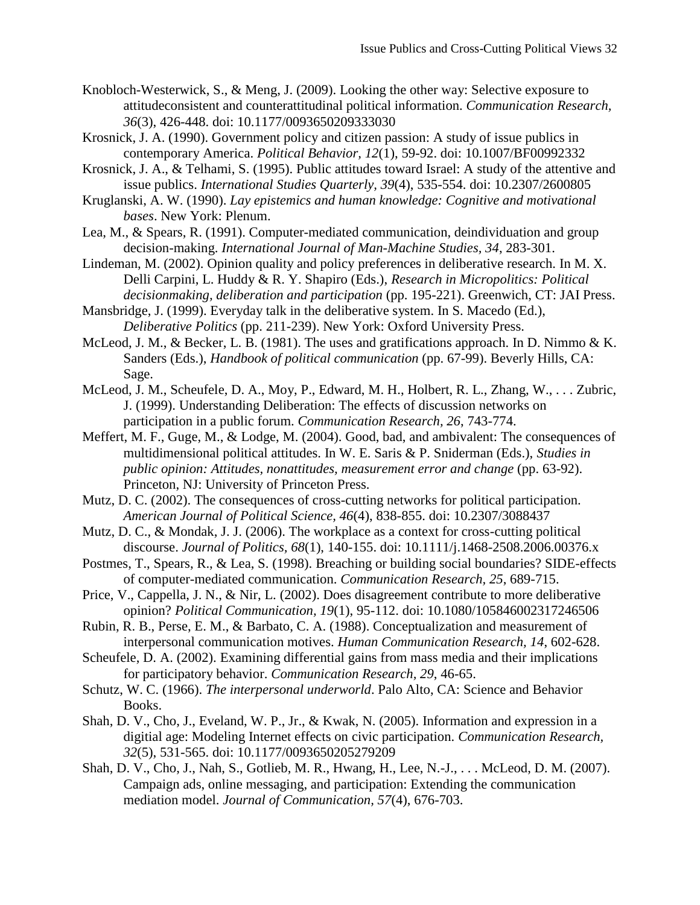- <span id="page-33-5"></span>Knobloch-Westerwick, S., & Meng, J. (2009). Looking the other way: Selective exposure to attitudeconsistent and counterattitudinal political information. *Communication Research, 36*(3), 426-448. doi: 10.1177/0093650209333030
- <span id="page-33-0"></span>Krosnick, J. A. (1990). Government policy and citizen passion: A study of issue publics in contemporary America. *Political Behavior, 12*(1), 59-92. doi: 10.1007/BF00992332
- <span id="page-33-3"></span>Krosnick, J. A., & Telhami, S. (1995). Public attitudes toward Israel: A study of the attentive and issue publics. *International Studies Quarterly, 39*(4), 535-554. doi: 10.2307/2600805
- <span id="page-33-4"></span>Kruglanski, A. W. (1990). *Lay epistemics and human knowledge: Cognitive and motivational bases*. New York: Plenum.
- <span id="page-33-17"></span>Lea, M., & Spears, R. (1991). Computer-mediated communication, deindividuation and group decision-making. *International Journal of Man-Machine Studies, 34*, 283-301.
- <span id="page-33-16"></span>Lindeman, M. (2002). Opinion quality and policy preferences in deliberative research. In M. X. Delli Carpini, L. Huddy & R. Y. Shapiro (Eds.), *Research in Micropolitics: Political decisionmaking, deliberation and participation* (pp. 195-221). Greenwich, CT: JAI Press.
- <span id="page-33-6"></span>Mansbridge, J. (1999). Everyday talk in the deliberative system. In S. Macedo (Ed.), *Deliberative Politics* (pp. 211-239). New York: Oxford University Press.
- <span id="page-33-11"></span>McLeod, J. M., & Becker, L. B. (1981). The uses and gratifications approach. In D. Nimmo & K. Sanders (Eds.), *Handbook of political communication* (pp. 67-99). Beverly Hills, CA: Sage.
- <span id="page-33-12"></span>McLeod, J. M., Scheufele, D. A., Moy, P., Edward, M. H., Holbert, R. L., Zhang, W., . . . Zubric, J. (1999). Understanding Deliberation: The effects of discussion networks on participation in a public forum. *Communication Research, 26*, 743-774.
- <span id="page-33-13"></span>Meffert, M. F., Guge, M., & Lodge, M. (2004). Good, bad, and ambivalent: The consequences of multidimensional political attitudes. In W. E. Saris & P. Sniderman (Eds.), *Studies in public opinion: Attitudes, nonattitudes, measurement error and change* (pp. 63-92). Princeton, NJ: University of Princeton Press.
- <span id="page-33-14"></span>Mutz, D. C. (2002). The consequences of cross-cutting networks for political participation. *American Journal of Political Science, 46*(4), 838-855. doi: 10.2307/3088437
- <span id="page-33-1"></span>Mutz, D. C., & Mondak, J. J. (2006). The workplace as a context for cross-cutting political discourse. *Journal of Politics, 68*(1), 140-155. doi: 10.1111/j.1468-2508.2006.00376.x
- <span id="page-33-18"></span>Postmes, T., Spears, R., & Lea, S. (1998). Breaching or building social boundaries? SIDE-effects of computer-mediated communication. *Communication Research, 25*, 689-715.
- <span id="page-33-2"></span>Price, V., Cappella, J. N., & Nir, L. (2002). Does disagreement contribute to more deliberative opinion? *Political Communication, 19*(1), 95-112. doi: 10.1080/105846002317246506
- <span id="page-33-7"></span>Rubin, R. B., Perse, E. M., & Barbato, C. A. (1988). Conceptualization and measurement of interpersonal communication motives. *Human Communication Research, 14*, 602-628.
- <span id="page-33-10"></span>Scheufele, D. A. (2002). Examining differential gains from mass media and their implications for participatory behavior. *Communication Research, 29*, 46-65.
- <span id="page-33-8"></span>Schutz, W. C. (1966). *The interpersonal underworld*. Palo Alto, CA: Science and Behavior Books.
- <span id="page-33-15"></span>Shah, D. V., Cho, J., Eveland, W. P., Jr., & Kwak, N. (2005). Information and expression in a digitial age: Modeling Internet effects on civic participation. *Communication Research, 32*(5), 531-565. doi: 10.1177/0093650205279209
- <span id="page-33-9"></span>Shah, D. V., Cho, J., Nah, S., Gotlieb, M. R., Hwang, H., Lee, N.-J., . . . McLeod, D. M. (2007). Campaign ads, online messaging, and participation: Extending the communication mediation model. *Journal of Communication, 57*(4), 676-703.